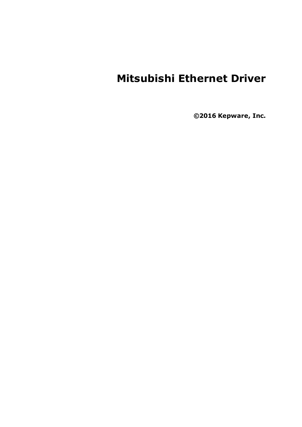# **Mitsubishi Ethernet Driver**

**©2016 Kepware, Inc.**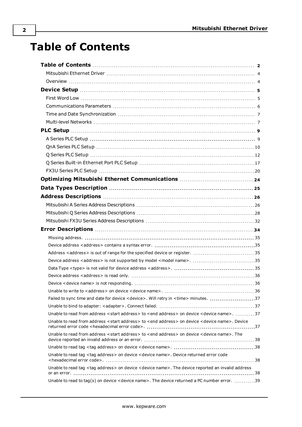# <span id="page-1-0"></span>**Table of Contents**

| Failed to sync time and date for device < device>. Will retry in <time> minutes. 37</time>                                   |  |
|------------------------------------------------------------------------------------------------------------------------------|--|
|                                                                                                                              |  |
| Unable to read from address <start address=""> to <end address=""> on device <device name="">. 37</device></end></start>     |  |
| Unable to read from address <start address=""> to <end address=""> on device <device name="">. Device</device></end></start> |  |
| Unable to read from address <start address=""> to <end address=""> on device <device name="">. The</device></end></start>    |  |
|                                                                                                                              |  |
| Unable to read tag <tag address=""> on device <device name="">. Device returned error code</device></tag>                    |  |
| Unable to read tag <tag address=""> on device <device name="">. The device reported an invalid address</device></tag>        |  |
| Unable to read to tag(s) on device < device name>. The device returned a PC number error. 39                                 |  |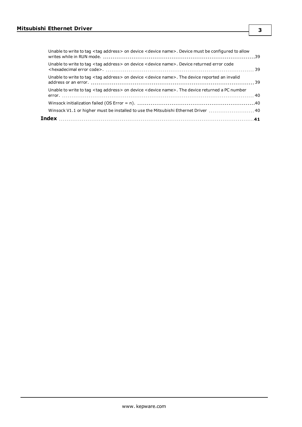| Winsock V1.1 or higher must be installed to use the Mitsubishi Ethernet Driver  40                                    |  |
|-----------------------------------------------------------------------------------------------------------------------|--|
|                                                                                                                       |  |
| Unable to write to tag <tag address=""> on device <device name="">. The device returned a PC number</device></tag>    |  |
| Unable to write to tag <tag address=""> on device <device name="">. The device reported an invalid</device></tag>     |  |
| Unable to write to tag <tag address=""> on device <device name="">. Device returned error code</device></tag>         |  |
| Unable to write to tag <tag address=""> on device <device name="">. Device must be configured to allow</device></tag> |  |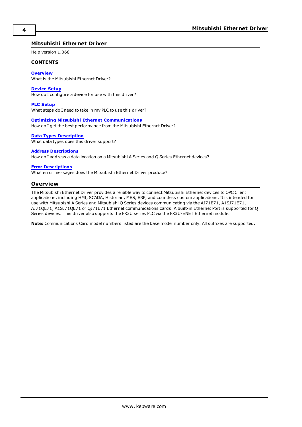# <span id="page-3-0"></span>**Mitsubishi Ethernet Driver**

Help version 1.068

#### **CONTENTS**

**[Overview](#page-3-1)**

What is the Mitsubishi Ethernet Driver?

#### **[Device](#page-4-0) Setup**

How do I configure a device for use with this driver?

#### **PLC [Setup](#page-8-0)**

What steps do I need to take in my PLC to use this driver?

#### **Optimizing Mitsubishi Ethernet [Communications](#page-23-0)**

How do I get the best performance from the Mitsubishi Ethernet Driver?

#### **Data Types [Description](#page-24-0)**

What data types does this driver support?

#### **Address [Descriptions](#page-25-0)**

How do I address a data location on a Mitsubishi A Series and Q Series Ethernet devices?

#### **Error [Descriptions](#page-33-0)**

<span id="page-3-1"></span>What error messages does the Mitsubishi Ethernet Driver produce?

## **Overview**

The Mitsubishi Ethernet Driver provides a reliable way to connect Mitsubishi Ethernet devices to OPC Client applications, including HMI, SCADA, Historian, MES, ERP, and countless custom applications. It is intended for use with Mitsubishi A Series and Mitsubishi Q Series devices communicating via the AJ71E71, A1SJ71E71, AJ71QE71, A1SJ71QE71 or QJ71E71 Ethernet communications cards. A built-in Ethernet Port is supported for Q Series devices. This driver also supports the FX3U series PLC via the FX3U-ENET Ethernet module.

**Note:** Communications Card model numbers listed are the base model number only. All suffixes are supported.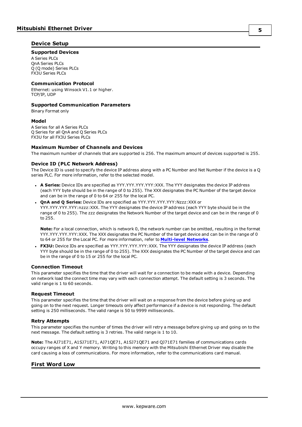# <span id="page-4-0"></span>**Device Setup**

#### **Supported Devices**

A Series PLCs QnA Series PLCs Q (Q mode) Series PLCs FX3U Series PLCs

#### **Communication Protocol**

Ethernet: using Winsock V1.1 or higher. TCP/IP, UDP

#### **Supported Communication Parameters**

Binary Format only

#### **Model**

A Series for all A Series PLCs Q Series for all QnA and Q Series PLCs FX3U for all FX3U Series PLCs

#### **Maximum Number of Channels and Devices**

<span id="page-4-2"></span>The maximum number of channels that are supported is 256. The maximum amount of devices supported is 255.

## **Device ID (PLC Network Address)**

The Device ID is used to specify the device IP address along with a PC Number and Net Number if the device is a Q series PLC. For more information, refer to the selected model.

- <sup>l</sup> **A Series:** Device IDs are specified as YYY.YYY.YYY.YYY:XXX. The YYY designates the device IP address (each YYY byte should be in the range of 0 to 255). The XXX designates the PC Number of the target device and can be in the range of 0 to 64 or 255 for the local PC.
- <sup>l</sup> **QnA and Q Series:** Device IDs are specified as YYY.YYY.YYY.YYY:Nzzz:XXX or YYY.YYY.YYY.YYY:nzzz:XXX. The YYY designates the device IP address (each YYY byte should be in the range of 0 to 255). The zzz designates the Network Number of the target device and can be in the range of 0 to 255.

**Note:** For a local connection, which is network 0, the network number can be omitted, resulting in the format YYY.YYY.YYY.YYY:XXX. The XXX designates the PC Number of the target device and can be in the range of 0 to 64 or 255 for the Local PC. For more information, refer to **[Multi-level](#page-6-1) Networks**.

**FX3U:** Device IDs are specified as YYY.YYY.YYY.YYY:XXX. The YYY designates the device IP address (each YYY byte should be in the range of 0 to 255). The XXX designates the PC Number of the target device and can be in the range of 0 to 15 or 255 for the local PC.

#### **Connection Timeout**

This parameter specifies the time that the driver will wait for a connection to be made with a device. Depending on network load the connect time may vary with each connection attempt. The default setting is 3 seconds. The valid range is 1 to 60 seconds.

#### **Request Timeout**

This parameter specifies the time that the driver will wait on a response from the device before giving up and going on to the next request. Longer timeouts only affect performance if a device is not responding. The default setting is 250 milliseconds. The valid range is 50 to 9999 milliseconds.

#### **Retry Attempts**

This parameter specifies the number of times the driver will retry a message before giving up and going on to the next message. The default setting is 3 retries. The valid range is 1 to 10.

**Note:** The AJ71E71, A1SJ71E71, AJ71QE71, A1SJ71QE71 and QJ71E71 families of communications cards occupy ranges of X and Y memory. Writing to this memory with the Mitsubishi Ethernet Driver may disable the card causing a loss of communications. For more information, refer to the communications card manual.

# <span id="page-4-1"></span>**First Word Low**

**5**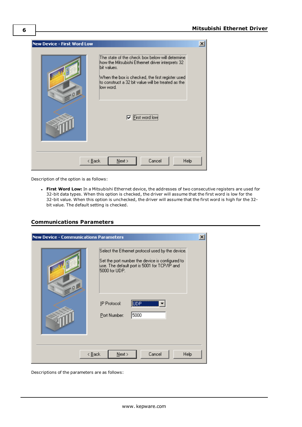

Description of the option is as follows:

<sup>l</sup> **First Word Low:** In a Mitsubishi Ethernet device, the addresses of two consecutive registers are used for 32-bit data types. When this option is checked, the driver will assume that the first word is low for the 32-bit value. When this option is unchecked, the driver will assume that the first word is high for the 32 bit value. The default setting is checked.

# <span id="page-5-0"></span>**Communications Parameters**

| <b>New Device - Communications Parameters</b>        |                                                                                                                                                                      | $\boldsymbol{\mathsf{x}}$ |  |  |
|------------------------------------------------------|----------------------------------------------------------------------------------------------------------------------------------------------------------------------|---------------------------|--|--|
| Q                                                    | Select the Ethernet protocol used by the device.<br>Set the port number the device is configured to<br>use. The default port is 5001 for TCP/IP and<br>5000 for UDP. |                           |  |  |
|                                                      | UDP<br>IP Protocol:<br>5000<br>Port Number:                                                                                                                          |                           |  |  |
| Cancel<br><b>Help</b><br>< <u>B</u> ack<br>$N$ ext > |                                                                                                                                                                      |                           |  |  |

Descriptions of the parameters are as follows: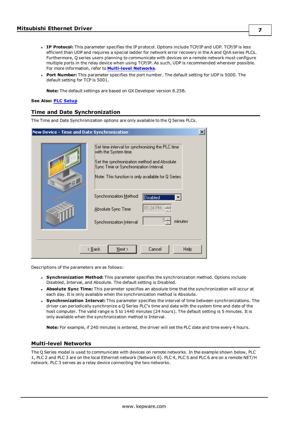- <sup>l</sup> **IP Protocol:** This parameter specifies the IP protocol. Options include TCP/IP and UDP. TCP/IP is less efficient than UDP and requires a special ladder for network error recovery in the A and QnA series PLCs. Furthermore, Q series users planning to communicate with devices on a remote network must configure multiple ports in the relay device when using TCP/IP. As such, UDP is recommended wherever possible. For more information, refer to **[Multi-level](#page-6-1) Networks**.
- <sup>l</sup> **Port Number:** This parameter specifies the port number. The default setting for UDP is 5000. The default setting for TCP is 5001.

**Note:** The default settings are based on GX Developer version 8.25B.

#### <span id="page-6-0"></span>**See Also: PLC [Setup](#page-8-0)**

## **Time and Date Synchronization**

The Time and Date Synchronization options are only available to the Q Series PLCs.

|   | $\vert x \vert$<br>New Device - Time and Date Synchronization                                                                                                                                                                                                                                                                                |  |  |  |  |  |
|---|----------------------------------------------------------------------------------------------------------------------------------------------------------------------------------------------------------------------------------------------------------------------------------------------------------------------------------------------|--|--|--|--|--|
| 9 | Set time interval for synchronizing the PLC time<br>with the System time.<br>Set the synchronization method and Absolute.<br>Sync Time or Synchronization Interval.<br>Note: This function is only available for Q Series.<br>Synchronization Method:<br>Disabled<br>01:24 PM<br>Absolute Sync Time:<br>minutes<br>Synchronization Interval: |  |  |  |  |  |
|   | < <u>B</u> ack<br>$N$ ext ><br>Cancel<br>Help                                                                                                                                                                                                                                                                                                |  |  |  |  |  |

Descriptions of the parameters are as follows:

- <sup>l</sup> **Synchronization Method:** This parameter specifies the synchronization method. Options include Disabled, Interval, and Absolute. The default setting is Disabled.
- <sup>l</sup> **Absolute Sync Time:** This parameter specifies an absolute time that the synchronization will occur at each day. It is only available when the synchronization method is Absolute.
- <sup>l</sup> **Synchronization Interval:** This parameter specifies the interval of time between synchronizations. The driver can periodically synchronize a Q Series PLC's time and date with the system time and date of the host computer. The valid range is 5 to 1440 minutes (24 hours). The default setting is 5 minutes. It is only available when the synchronization method is Interval.

**Note:** For example, if 240 minutes is entered, the driver will set the PLC date and time every 4 hours.

## <span id="page-6-1"></span>**Multi-level Networks**

The Q Series model is used to communicate with devices on remote networks. In the example shown below, PLC 1, PLC 2 and PLC 3 are on the local Ethernet network (Network 0). PLC 4, PLC 5 and PLC 6 are on a remote NET/H network. PLC 3 serves as a relay device connecting the two networks.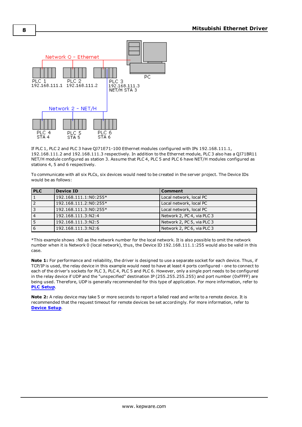

If PLC 1, PLC 2 and PLC 3 have QJ71E71-100 Ethernet modules configured with IPs 192.168.111.1, 192.168.111.2 and 192.168.111.3 respectively. In addition to the Ethernet module, PLC 3 also has a QJ71BR11 NET/H module configured as station 3. Assume that PLC 4, PLC 5 and PLC 6 have NET/H modules configured as stations 4, 5 and 6 respectively.

To communicate with all six PLCs, six devices would need to be created in the server project. The Device IDs would be as follows:

| <b>PLC</b>     | <b>Device ID</b>      | <b>Comment</b>             |
|----------------|-----------------------|----------------------------|
|                | 192.168.111.1:N0:255* | Local network, local PC    |
|                | 192.168.111.2:N0:255* | Local network, local PC    |
| 3              | 192.168.111.3:N0:255* | Local network, local PC    |
| $\overline{4}$ | 192.168.111.3:N2:4    | Network 2, PC 4, via PLC 3 |
| 5              | 192.168.111.3:N2:5    | Network 2, PC 5, via PLC 3 |
| 6              | 192.168.111.3:N2:6    | Network 2, PC 6, via PLC 3 |

\*This example shows :N0 as the network number for the local network. It is also possible to omit the network number when it is Network 0 (local network), thus, the Device ID 192.168.111.1:255 would also be valid in this case.

**Note 1:** For performance and reliability, the driver is designed to use a separate socket for each device. Thus, if TCP/IP is used, the relay device in this example would need to have at least 4 ports configured - one to connect to each of the driver's sockets for PLC 3, PLC 4, PLC 5 and PLC 6. However, only a single port needs to be configured in the relay device if UDP and the "unspecified" destination IP (255.255.255.255) and port number (0xFFFF) are being used. Therefore, UDP is generally recommended for this type of application. For more information, refer to **PLC [Setup](#page-8-0)**.

**Note 2:** A relay device may take 5 or more seconds to report a failed read and write to a remote device. It is recommended that the request timeout for remote devices be set accordingly. For more information, refer to **[Device](#page-4-0) Setup**.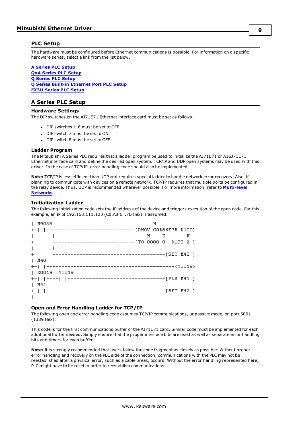# <span id="page-8-0"></span>**PLC Setup**

The hardware must be configured before Ethernet communications is possible. For information on a specific hardware series, select a link from the list below.

**A [Series](#page-8-1) PLC Setup QnA [Series](#page-9-0) PLC Setup Q [Series](#page-11-0) PLC Setup Q Series Built-in [Ethernet](#page-16-0) Port PLC Setup FX3U [Series](#page-19-0) PLC Setup**

# <span id="page-8-1"></span>**A Series PLC Setup**

#### **Hardware Settings**

The DIP switches on the AJ71E71 Ethernet interface card must be set as follows.

- $\bullet$  DIP switches 1-6 must be set to OFF.
- DIP switch 7 must be set to ON.
- $\bullet$  DIP switch 8 must be set to OFF.

#### **Ladder Program**

The Mitsubishi A Series PLC requires that a ladder program be used to initialize the AJ71E71 or A1SJ71E71 Ethernet interface card and define the desired open system. TCP/IP and UDP open systems may be used with this driver. In the case of TCP/IP, error handling code should also be implemented.

**Note:** TCP/IP is less efficient than UDP and requires special ladder to handle network error recovery. Also, if planning to communicate with devices on a remote network, TCP/IP requires that multiple ports be configured in the relay device. Thus, UDP is recommended wherever possible. For more information, refer to **[Multi-level](#page-6-1) [Networks](#page-6-1)**.

#### **Initialization Ladder**

The following initialization code sets the IP address of the device and triggers execution of the open code. For this example, an IP of 192.168.111.123 (C0.A8.6F.7B Hex) is assumed.

| M9038                                                                 | н |             |     |
|-----------------------------------------------------------------------|---|-------------|-----|
| +-   --+--------------------------[DMOV COA86F7B D100]                |   |             |     |
|                                                                       | H | $K$ and $K$ | K I |
| $+$<br>---------------------------FTO 0000 0 D100 2 1I                |   |             |     |
|                                                                       |   |             |     |
| $^{+}$                                                                |   |             |     |
| 1 M40                                                                 |   |             |     |
| -------------------------------- <y0019>)<br/>+-   ----------</y0019> |   |             |     |
| X0019 Y0019                                                           |   |             |     |
|                                                                       |   |             |     |
| M41                                                                   |   |             |     |
| -------------------------------[SET M42 ] <br>+-   --------           |   |             |     |
|                                                                       |   |             |     |

# **Open and Error Handling Ladder for TCP/IP**

The following open and error handling code assumes TCP/IP communications, unpassive mode, on port 5001 (1389 Hex).

This code is for the first communications buffer of the AJ71E71 card. Similar code must be implemented for each additional buffer needed. Simply ensure that the proper interface bits are used as well as separate error handling bits and timers for each buffer.

**Note:** It is strongly recommended that users follow the code fragment as closely as possible. Without proper error handling and recovery on the PLC side of the connection, communications with the PLC may not be reestablished after a physical error, such as a cable break, occurs. Without the error handling represented here, PLC might have to be reset in order to reestablish communications.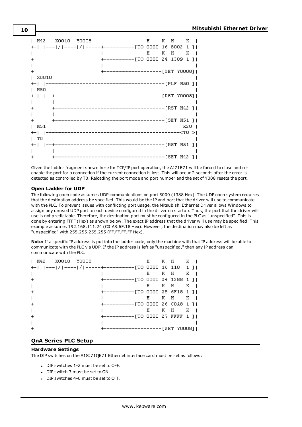|            | M42 X0010 Y0008 |                                                        |  | H K H K I |       |  |
|------------|-----------------|--------------------------------------------------------|--|-----------|-------|--|
|            |                 | +-   --- / ---- / -----+----------[TO 0000 16 8002 1 ] |  |           |       |  |
|            |                 |                                                        |  | H K H K I |       |  |
|            |                 | +----------[TO 0000 24 1389 1 ]                        |  |           |       |  |
|            |                 |                                                        |  |           |       |  |
|            |                 | +-------------------[SET Y0008]                        |  |           |       |  |
| X0010      |                 |                                                        |  |           |       |  |
|            |                 |                                                        |  |           |       |  |
| M50        |                 |                                                        |  |           |       |  |
|            |                 |                                                        |  |           |       |  |
|            |                 |                                                        |  |           |       |  |
|            |                 |                                                        |  |           |       |  |
|            |                 |                                                        |  |           |       |  |
|            |                 | ------------------------------------[SET M51 ]         |  |           |       |  |
| M51        |                 |                                                        |  |           | K20 I |  |
|            |                 |                                                        |  |           |       |  |
| $\sqrt{1}$ |                 |                                                        |  |           |       |  |
|            |                 |                                                        |  |           |       |  |
|            |                 |                                                        |  |           |       |  |
|            |                 |                                                        |  |           |       |  |

Given the ladder fragment shown here for TCP/IP port operation, the AJ71E71 will be forced to close and reenable the port for a connection if the current connection is lost. This will occur 2 seconds after the error is detected as controlled by T0. Reloading the port mode and port number and the set of Y008 resets the port.

## **Open Ladder for UDP**

The following open code assumes UDP communications on port 5000 (1388 Hex). The UDP open system requires that the destination address be specified. This would be the IP and port that the driver will use to communicate with the PLC. To prevent issues with conflicting port usage, the Mitsubishi Ethernet Driver allows Windows to assign any unused UDP port to each device configured in the driver on startup. Thus, the port that the driver will use is not predictable. Therefore, the destination port must be configured in the PLC as "unspecified". This is done by entering FFFF (Hex) as shown below. The exact IP address that the driver will use may be specified. This example assumes 192.168.111.24 (C0.A8.6F.18 Hex). However, the destination may also be left as "unspecified" with 255.255.255.255 (FF.FF.FF.FF Hex).

**Note:** If a specific IP address is put into the ladder code, only the machine with that IP address will be able to communicate with the PLC via UDP. If the IP address is left as "unspecified," then any IP address can communicate with the PLC.

| M42 X0010 Y0008                                        |                                 |     | H KH KI               |  |
|--------------------------------------------------------|---------------------------------|-----|-----------------------|--|
| +-   --- / ---- / -----+----------[TO 0000 16 110  1 ] |                                 |     |                       |  |
|                                                        |                                 |     | H KH KI               |  |
|                                                        | +----------[TO 0000 24 1388 1 ] |     |                       |  |
|                                                        |                                 |     | H KH KI               |  |
|                                                        | +----------[TO 0000 25 6F18 1 1 |     |                       |  |
|                                                        |                                 |     | H KH KI               |  |
|                                                        | +----------[TO 0000 26 COA8 1 ] |     |                       |  |
|                                                        |                                 | H — | KH KI                 |  |
|                                                        | +----------[TO 0000 27 FFFF 1 1 |     |                       |  |
|                                                        |                                 |     |                       |  |
|                                                        |                                 |     | ----------[SET YOOO8] |  |

# <span id="page-9-0"></span>**QnA Series PLC Setup**

#### **Hardware Settings**

The DIP switches on the A1SJ71QE71 Ethernet interface card must be set as follows:

- DIP switches 1-2 must be set to OFF.
- DIP switch 3 must be set to ON.
- DIP switches 4-6 must be set to OFF.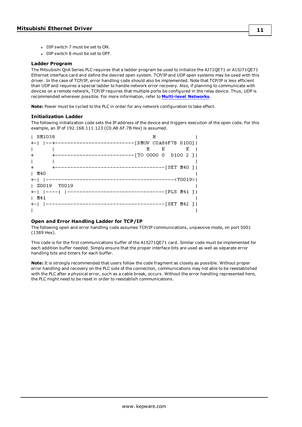• DIP switch 8 must be set to OFF.

#### **Ladder Program**

The Mitsubishi QnA Series PLC requires that a ladder program be used to initialize the AJ71QE71 or A1SJ71QE71 Ethernet interface card and define the desired open system. TCP/IP and UDP open systems may be used with this driver. In the case of TCP/IP, error handling code should also be implemented. Note that TCP/IP is less efficient than UDP and requires a special ladder to handle network error recovery. Also, if planning to communicate with devices on a remote network, TCP/IP requires that multiple ports be configured in the relay device. Thus, UDP is recommended wherever possible. For more information, refer to **[Multi-level](#page-6-1) Networks**.

**Note:** Power must be cycled to the PLC in order for any network configuration to take effect.

## **Initialization Ladder**

The following initialization code sets the IP address of the device and triggers execution of the open code. For this example, an IP of 192.168.111.123 (C0.A8.6F.7B Hex) is assumed.

| SM1038                                         | Н       |  |  |
|------------------------------------------------|---------|--|--|
|                                                |         |  |  |
|                                                | $H$ K K |  |  |
| +--------------------------[TO 0000 0 D100 2 ] |         |  |  |
| $\mathbf{L}$                                   |         |  |  |
| $+$                                            |         |  |  |
| 1 M40                                          |         |  |  |
|                                                |         |  |  |
| X0019 Y0019                                    |         |  |  |
|                                                |         |  |  |
| M41                                            |         |  |  |
|                                                |         |  |  |
|                                                |         |  |  |

## **Open and Error Handling Ladder for TCP/IP**

The following open and error handling code assumes TCP/IP communications, unpassive mode, on port 5001 (1389 Hex).

This code is for the first communications buffer of the A1SJ71QE71 card. Similar code must be implemented for each addition buffer needed. Simply ensure that the proper interface bits are used as well as separate error handling bits and timers for each buffer.

**Note:** It is strongly recommended that users follow the code fragment as closely as possible. Without proper error handling and recovery on the PLC side of the connection, communications may not able to be reestablished with the PLC after a physical error, such as a cable break, occurs. Without the error handling represented here, the PLC might need to be reset in order to reestablish communications.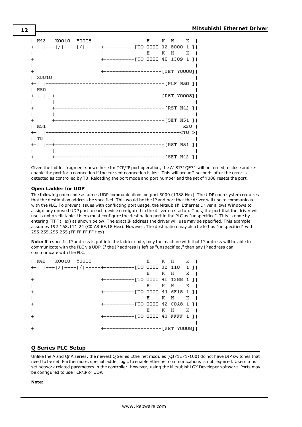|            | M42 X0010 Y0008 |                                                        |  | H KH KI     |       |  |
|------------|-----------------|--------------------------------------------------------|--|-------------|-------|--|
|            |                 | +-   --- / ---- / -----+----------[TO 0000 32 8000 1 ] |  |             |       |  |
|            |                 |                                                        |  | $H$ $K$ $H$ | K l   |  |
|            |                 | +----------[TO 0000 40 1389 1 ]                        |  |             |       |  |
|            |                 |                                                        |  |             |       |  |
|            |                 | +-------------------[SET Y0008]                        |  |             |       |  |
| X0010      |                 |                                                        |  |             |       |  |
|            |                 |                                                        |  |             |       |  |
| M50        |                 |                                                        |  |             |       |  |
|            |                 |                                                        |  |             |       |  |
|            |                 |                                                        |  |             |       |  |
|            |                 |                                                        |  |             |       |  |
|            |                 |                                                        |  |             |       |  |
|            |                 |                                                        |  |             |       |  |
| M51        |                 |                                                        |  |             | K20 I |  |
|            |                 |                                                        |  |             |       |  |
| $\vert$ TO |                 |                                                        |  |             |       |  |
|            |                 |                                                        |  |             |       |  |
|            |                 |                                                        |  |             |       |  |
|            |                 | -------------------------------------[SET M42 ]        |  |             |       |  |

Given the ladder fragment shown here for TCP/IP port operation, the A1SJ71QE71 will be forced to close and reenable the port for a connection if the current connection is lost. This will occur 2 seconds after the error is detected as controlled by T0. Reloading the port mode and port number and the set of Y008 resets the port.

## **Open Ladder for UDP**

The following open code assumes UDP communications on port 5000 (1388 Hex). The UDP open system requires that the destination address be specified. This would be the IP and port that the driver will use to communicate with the PLC. To prevent issues with conflicting port usage, the Mitsubishi Ethernet Driver allows Windows to assign any unused UDP port to each device configured in the driver on startup. Thus, the port that the driver will use is not predictable. Users must configure the destination port in the PLC as "unspecified". This is done by entering FFFF (Hex) as shown below. The exact IP address the driver will use may be specified. This example assumes 192.168.111.24 (C0.A8.6F.18 Hex). However, The destination may also be left as "unspecified" with 255.255.255.255 (FF.FF.FF.FF Hex).

**Note:** If a specific IP address is put into the ladder code, only the machine with that IP address will be able to communicate with the PLC via UDP. If the IP address is left as "unspecified," then any IP address can communicate with the PLC.

| M42 X0010 Y0008                                        |                                 |   | H KH KI   |  |
|--------------------------------------------------------|---------------------------------|---|-----------|--|
| +-   --- / ---- / -----+----------[TO 0000 32 110 -1 ] |                                 |   |           |  |
|                                                        |                                 | H | KH KI     |  |
|                                                        | +----------[TO 0000 40 1388 1 ] |   |           |  |
|                                                        |                                 |   | H KH KI   |  |
|                                                        | +----------[TO 0000 41 6F18 1 ] |   |           |  |
|                                                        |                                 |   | H K H K I |  |
|                                                        | +----------[TO 0000 42 COA8 1 ] |   |           |  |
|                                                        |                                 | H | KH KI     |  |
|                                                        | +----------[TO 0000 43 FFFF 1 1 |   |           |  |
|                                                        |                                 |   |           |  |
|                                                        | -----------[SET YOOO8]          |   |           |  |

# <span id="page-11-0"></span>**Q Series PLC Setup**

Unlike the A and QnA series, the newest Q Series Ethernet modules (QJ71E71-100) do not have DIP switches that need to be set. Furthermore, special ladder logic to enable Ethernet communications is not required. Users must set network related parameters in the controller, however, using the Mitsubishi GX Developer software. Ports may be configured to use TCP/IP or UDP.

#### **Note:**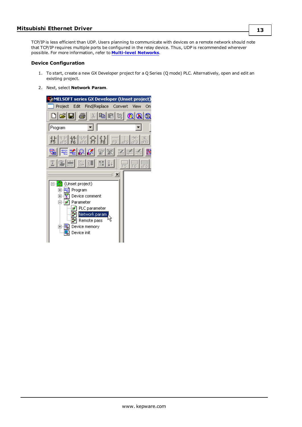TCP/IP is less efficient than UDP. Users planning to communicate with devices on a remote network should note that TCP/IP requires multiple ports be configured in the relay device. Thus, UDP is recommended wherever possible. For more information, refer to **[Multi-level](#page-6-1) Networks**.

#### **Device Configuration**

- 1. To start, create a new GX Developer project for a Q Series (Q mode) PLC. Alternatively, open and edit an existing project.
- 2. Next, select **Network Param**.

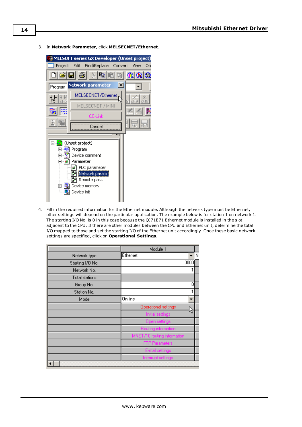3. In **Network Parameter**, click **MELSECNET/Ethernet**.



4. Fill in the required information for the Ethernet module. Although the network type must be Ethernet, other settings will depend on the particular application. The example below is for station 1 on network 1. The starting I/O No. is 0 in this case because the QJ71E71 Ethernet module is installed in the slot adjacent to the CPU. If there are other modules between the CPU and Ethernet unit, determine the total I/O mapped to those and set the starting I/O of the Ethernet unit accordingly. Once these basic network settings are specified, click on **Operational Settings**.

|                  | Module 1                    |
|------------------|-----------------------------|
| Network type     | ∥N<br>Ethernet<br>÷         |
| Starting I/O No. | 0000                        |
| Network No.      |                             |
| Total stations   |                             |
| Group No.        | 0                           |
| Station No.      |                             |
| Mode             | On line                     |
|                  | Operational settings        |
|                  | Initial settings            |
|                  | Open settings               |
|                  | Routing information         |
|                  | MNET/10 routing information |
|                  | <b>FTP Parameters</b>       |
|                  | E-mail settings             |
|                  | Interrupt settings          |
|                  |                             |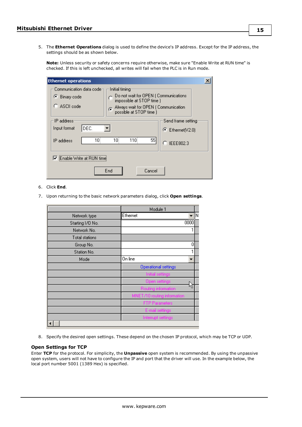5. The **Ethernet Operations** dialog is used to define the device's IP address. Except for the IP address, the settings should be as shown below.

**Note:** Unless security or safety concerns require otherwise, make sure "Enable Write at RUN time" is checked. If this is left unchecked, all writes will fail when the PLC is in Run mode.

| <b>Ethernet operations</b>                                                                                                                                     |                                                               |
|----------------------------------------------------------------------------------------------------------------------------------------------------------------|---------------------------------------------------------------|
| Communication data code-<br>Initial timing<br>Do not wait for OPEN (Communications<br>C Binary code<br>impossible at STOP time )<br>$\bigcap$ ASCII code<br>G. |                                                               |
| Always wait for OPEN (Communication<br>possible at STOP time )<br>-IP address<br>DEC.<br>Input format<br>10<br>10<br>110<br>55<br>IP address                   | Send frame setting<br>$\bullet$ Ethernet(V2.0)<br>C IEEE802.3 |
| Enable Write at RUN tin<br>↜<br>End<br>Cancel                                                                                                                  |                                                               |

# 6. Click **End**.

7. Upon returning to the basic network parameters dialog, click **Open settings**.

|                  | Module 1                    |    |
|------------------|-----------------------------|----|
| Network type     | Ethernet<br>÷               | lΝ |
| Starting I/O No. | 0000                        |    |
| Network No.      |                             |    |
| Total stations   |                             |    |
| Group No.        | 0                           |    |
| Station No.      |                             |    |
| Mode             | On line                     |    |
|                  | Operational settings        |    |
|                  | Initial settings            |    |
|                  | Open settings               |    |
|                  | Routing information         |    |
|                  | MNET/10 routing information |    |
|                  | <b>FTP Parameters</b>       |    |
|                  | E-mail settings             |    |
|                  | Interrupt settings          |    |
|                  |                             |    |

8. Specify the desired open settings. These depend on the chosen IP protocol, which may be TCP or UDP.

#### **Open Settings for TCP**

Enter **TCP** for the protocol. For simplicity, the **Unpassive** open system is recommended. By using the unpassive open system, users will not have to configure the IP and port that the driver will use. In the example below, the local port number 5001 (1389 Hex) is specified.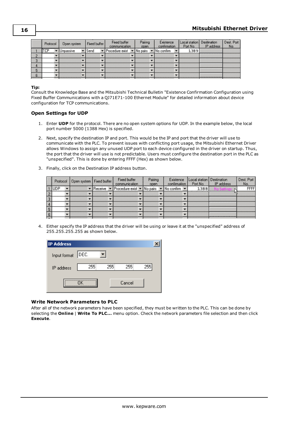| Protocol | <b>Open system</b> | Fixed buffer | Fixed buffer<br>communication | Pairing<br>open | Existence<br>confirmation | Local station Destination<br>Port No. | IP address | Dest. Port<br>No. |
|----------|--------------------|--------------|-------------------------------|-----------------|---------------------------|---------------------------------------|------------|-------------------|
| TCP      | ▼ Unpassive        | Send         | ▼ Procedure exist ▼ No pairs  |                 | No confirm                | 1389                                  |            |                   |
|          |                    |              |                               |                 |                           |                                       |            |                   |
|          |                    |              |                               |                 |                           |                                       |            |                   |
|          |                    |              |                               |                 |                           |                                       |            |                   |
|          |                    |              |                               |                 |                           |                                       |            |                   |
|          |                    |              |                               |                 |                           |                                       |            |                   |

# **Tip:**

Consult the Knowledge Base and the Mitsubishi Technical Bulletin "Existence Confirmation Configuration using Fixed Buffer Communications with a QJ71E71-100 Ethernet Module" for detailed information about device configuration for TCP communications.

#### **Open Settings for UDP**

- 1. Enter **UDP** for the protocol. There are no open system options for UDP. In the example below, the local port number 5000 (1388 Hex) is specified.
- 2. Next, specify the destination IP and port. This would be the IP and port that the driver will use to communicate with the PLC. To prevent issues with conflicting port usage, the Mitsubishi Ethernet Driver allows Windows to assign any unused UDP port to each device configured in the driver on startup. Thus, the port that the driver will use is not predictable. Users must configure the destination port in the PLC as "unspecified". This is done by entering FFFF (Hex) as shown below.
- 3. Finally, click on the Destination IP address button.

|     | Protocol   Open system   Fixed buffer | Fixed buffer<br>communication                         | Pairing<br>open | Existence<br>confirmation | Local station Destination | Port No.   IP address | Dest. Port<br>No. |
|-----|---------------------------------------|-------------------------------------------------------|-----------------|---------------------------|---------------------------|-----------------------|-------------------|
| UDP |                                       | ▼ Receive ▼ Procedure exist ▼ No pairs ▼ No confirm ▼ |                 |                           | 1388                      |                       | FFFF              |
|     |                                       |                                                       |                 |                           |                           |                       |                   |
|     |                                       |                                                       |                 |                           |                           |                       |                   |
|     |                                       |                                                       |                 |                           |                           |                       |                   |
|     |                                       |                                                       |                 |                           |                           |                       |                   |
|     |                                       |                                                       |                 |                           |                           |                       |                   |

4. Either specify the IP address that the driver will be using or leave it at the "unspecified" address of 255.255.255.255 as shown below.

| IP Address   |      |     |        |     |
|--------------|------|-----|--------|-----|
| Input format | DEC. |     |        |     |
| IP address   | 255  | 255 | 255    | 255 |
|              |      |     | Cancel |     |

#### **Write Network Parameters to PLC**

After all of the network parameters have been specified, they must be written to the PLC. This can be done by selecting the **Online** | **Write To PLC...** menu option. Check the network parameters file selection and then click **Execute**.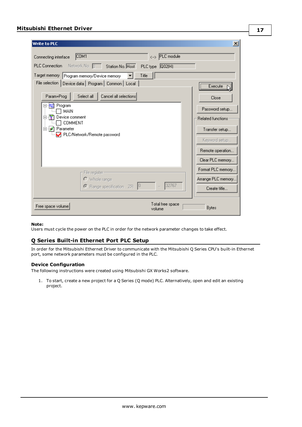| <b>Write to PLC</b><br>COM1<br>Connecting interface                                     | ×<br><--> PLC module             |
|-----------------------------------------------------------------------------------------|----------------------------------|
| <b>PLC</b> Connection<br>Network No. 0 Station No. Host                                 |                                  |
| PLC type Q02(H)<br>Target memory<br>Title                                               |                                  |
| Program memory/Device memory<br>File selection   Device data   Program   Common   Local | <u>Execute</u>                   |
| Select all<br>Cancel all selections<br>Param+Prog                                       | Close                            |
| 鸭 Program<br>MAIN                                                                       | Password setup                   |
| R)<br>Device comment<br>F                                                               | <b>Related functions:</b>        |
| <b>COMMENT</b><br><b>P</b> arameter<br>Ė<br>PLC/Network/Remote password                 | Transfer setup<br>Keyword setup  |
|                                                                                         | Remote operation                 |
|                                                                                         | Clear PLC memory                 |
| File register-                                                                          | Format PLC memory                |
| $\bigcirc$ Whole range                                                                  | Arrange PLC memory               |
| 10<br>C Range specification ZR                                                          | 32767<br>Create title            |
| Free space volume<br>volume                                                             | Total free space<br><b>Bytes</b> |

#### **Note:**

<span id="page-16-0"></span>Users must cycle the power on the PLC in order for the network parameter changes to take effect.

# **Q Series Built-in Ethernet Port PLC Setup**

In order for the Mitsubishi Ethernet Driver to communicate with the Mitsubishi Q Series CPU's built-in Ethernet port, some network parameters must be configured in the PLC.

# **Device Configuration**

The following instructions were created using Mitsubishi GX Works2 software.

1. To start, create a new project for a Q Series (Q mode) PLC. Alternatively, open and edit an existing project.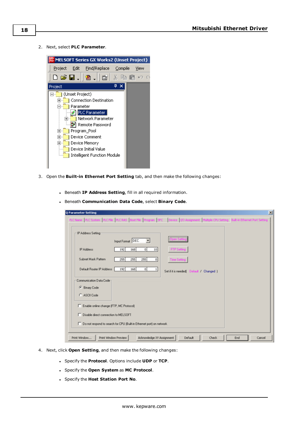2. Next, select **PLC Parameter**.



- 3. Open the **Built-in Ethernet Port Setting** tab, and then make the following changes:
	- <sup>l</sup> Beneath **IP Address Setting**, fill in all required information.
	- <sup>l</sup> Beneath **Communication Data Code**, select **Binary Code**.

| Q Parameter Setting<br>$\mathbf{x}$                                                                                                 |
|-------------------------------------------------------------------------------------------------------------------------------------|
| PLC Name PLC System PLC File PLC RAS Boot File Program SFC Device 100 Assignment Multiple CPU Setting Bult-in Ethernet Port Setting |
| IP Address Setting<br>Input Format DEC.<br>▾                                                                                        |
| FTP Setting<br><b>IP Address</b><br>168<br>192<br> 0 <br>10                                                                         |
| Subnet Mask Pattern<br>255<br>255<br>255<br>$\overline{0}$<br>Time Setting                                                          |
| Default Router IP Address<br>192<br>168<br>$\overline{0}$<br>$\mathbf{1}$<br>Set if it is needed [Default / Changed ]               |
| Communication Data Code<br><b>6</b> Binary Code<br>C ASCII Code<br>Enable online change (FTP, MC Protocol)                          |
| Disable direct connection to MELSOFT                                                                                                |
| Do not respond to search for CPU (Built-in Ethernet port) on network                                                                |
| Acknowledge XY Assignment<br>Print Window<br>Print Window Preview<br>Default<br><b>Check</b><br>End<br>Cancel                       |

- 4. Next, click **Open Setting**, and then make the following changes:
	- <sup>l</sup> Specify the **Protocol**. Options include **UDP** or **TCP**.
	- <sup>l</sup> Specify the **Open System** as **MC Protocol**.
	- <sup>l</sup> Specify the **Host Station Port No**.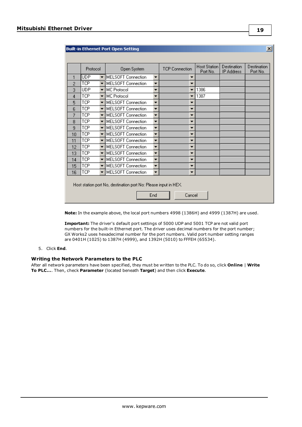|    | Protocol   |                          | Open System               |                          | <b>TCP Connection</b>    | Host Station<br>Port No. | Destination<br><b>IP Address</b> | Destination<br>Port No. |
|----|------------|--------------------------|---------------------------|--------------------------|--------------------------|--------------------------|----------------------------------|-------------------------|
| 1  | <b>UDP</b> | ▼                        | MELSOFT Connection        | ▼                        | ▼                        |                          |                                  |                         |
| 2  | <b>TCP</b> | ▼                        | <b>MELSOFT</b> Connection | ▼                        | ▼                        |                          |                                  |                         |
| 3  | <b>UDP</b> | $\overline{\phantom{a}}$ | MC Protocol               | ▼                        | $\overline{\phantom{a}}$ | 1386                     |                                  |                         |
| 4  | TCP        | $\overline{\phantom{a}}$ | <b>MC</b> Protocol        | ▼                        | ▼                        | 1387                     |                                  |                         |
| 5  | TCP        | $\overline{\phantom{a}}$ | <b>MELSOFT Connection</b> | ▼                        | ▼                        |                          |                                  |                         |
| 6  | <b>TCP</b> | $\overline{\phantom{a}}$ | <b>MELSOFT Connection</b> | $\overline{\phantom{0}}$ | ▼                        |                          |                                  |                         |
| 7  | <b>TCP</b> | $\overline{\phantom{a}}$ | MELSOFT Connection        | ▼                        | ▼                        |                          |                                  |                         |
| 8  | TCP        | $\overline{\phantom{a}}$ | MELSOFT Connection        | ▼                        | ▼                        |                          |                                  |                         |
| 9  | TCP        | $\overline{\phantom{a}}$ | <b>MELSOFT</b> Connection | ▼                        | ▼                        |                          |                                  |                         |
| 10 | TCP        | $\overline{\phantom{a}}$ | MELSOFT Connection        | ▼                        | ▼                        |                          |                                  |                         |
| 11 | TCP        | $\overline{\phantom{0}}$ | MELSOFT Connection        | $\overline{\phantom{0}}$ | ▼                        |                          |                                  |                         |
| 12 | TCP        | $\overline{\phantom{a}}$ | MELSOFT Connection        | ▼                        | ▼                        |                          |                                  |                         |
| 13 | TCP        | $\overline{\phantom{a}}$ | MELSOFT Connection        | ▼                        | ▼                        |                          |                                  |                         |
| 14 | TCP        | $\overline{\phantom{0}}$ | <b>MELSOFT Connection</b> | ▼                        | ▼                        |                          |                                  |                         |
| 15 | TCP        | $\overline{\phantom{a}}$ | <b>MELSOFT</b> Connection | $\overline{\phantom{a}}$ | ▼                        |                          |                                  |                         |
| 16 | TCP        | $\overline{\phantom{a}}$ | <b>MELSOFT</b> Connection | ▼                        | ▼                        |                          |                                  |                         |

End Cancel

**Note:** In the example above, the local port numbers 4998 (1386H) and 4999 (1387H) are used.

**Important:** The driver's default port settings of 5000 UDP and 5001 TCP are not valid port numbers for the built-in Ethernet port. The driver uses decimal numbers for the port number; GX Works2 uses hexadecimal number for the port numbers. Valid port number setting ranges are 0401H (1025) to 1387H (4999), and 1392H (5010) to FFFEH (65534).

# 5. Click **End**.

#### **Writing the Network Parameters to the PLC**

After all network parameters have been specified, they must be written to the PLC. To do so, click **Online** | **Write To PLC...**. Then, check **Parameter** (located beneath **Target**) and then click **Execute**.

**19**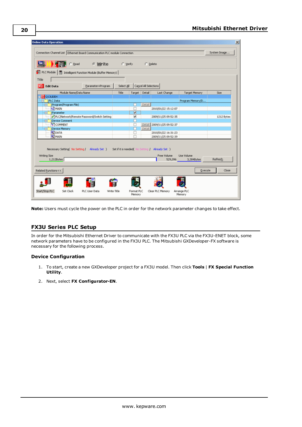| Size       |
|------------|
|            |
|            |
|            |
|            |
|            |
|            |
| 1212 Bytes |
|            |
|            |
|            |
|            |
|            |

**Note:** Users must cycle the power on the PLC in order for the network parameter changes to take effect.

# <span id="page-19-0"></span>**FX3U Series PLC Setup**

In order for the Mitsubishi Ethernet Driver to communicate with the FX3U PLC via the FX3U-ENET block, some network parameters have to be configured in the FX3U PLC. The Mitsubishi GXDeveloper-FX software is necessary for the following process.

#### **Device Configuration**

- 1. To start, create a new GXDeveloper project for a FX3U model. Then click **Tools** | **FX Special Function Utility**.
- 2. Next, select **FX Configurator-EN**.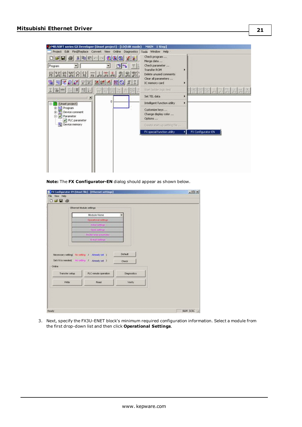| Project Edit Find/Replace Convert View Online Diagnostics<br>$ a $ and $ a $<br>00066<br>$D$ $\boldsymbol{\omega}$ . $\boldsymbol{\omega}$<br>Program<br>Ľ¥.<br>ъ<br>HHH # # 8 H<br>紫罗<br>$\frac{1}{\sqrt{2}}$<br>翡<br>$\overline{19}$<br>이 표 <mark>축형 정</mark> 조<br>髑<br>医腰部<br>ΘI<br>圖<br>工事用 排脚 田野<br>×<br>ū<br>(Unset project)<br>图 Righteram<br>٠v<br>由<br>Device comment<br>Parameter<br>PLC parameter<br><b>OLI</b> Device memory | Tools Window Help<br>Check program<br>Merge data<br>Check parameter<br>Transfer ROM<br>Delete unused comments<br>Clear all parameters<br>IC memory card<br>Start ladder logic test<br>Set TEL data<br>Intelligent function utility<br>Customize keys<br>Change display color<br>Options<br>Create start-up setting file | ٠                       |
|------------------------------------------------------------------------------------------------------------------------------------------------------------------------------------------------------------------------------------------------------------------------------------------------------------------------------------------------------------------------------------------------------------------------------------------|-------------------------------------------------------------------------------------------------------------------------------------------------------------------------------------------------------------------------------------------------------------------------------------------------------------------------|-------------------------|
|                                                                                                                                                                                                                                                                                                                                                                                                                                          | FX special function utility                                                                                                                                                                                                                                                                                             | FX Configurator-EN<br>м |
|                                                                                                                                                                                                                                                                                                                                                                                                                                          |                                                                                                                                                                                                                                                                                                                         |                         |

**Note:** The **FX Configurator-EN** dialog should appear as shown below.

|                | Ethernet Module settings                       |              |  |
|----------------|------------------------------------------------|--------------|--|
|                | Module None                                    |              |  |
|                | <b>Dennishal settings</b>                      |              |  |
|                | <b>Initial vehicles</b>                        |              |  |
|                | Open extinge:                                  |              |  |
|                | <b><i>Balder retey passmaker</i></b>           |              |  |
|                | <b>G-Hallmillinge</b>                          |              |  |
| Online         | Setifit is needed( No setting / Already set 7) | <b>Check</b> |  |
|                | PLC remote operation.                          | Diagnostics  |  |
| Transfer setup |                                                |              |  |
| Wite:          | Read                                           | Verify       |  |
|                |                                                |              |  |

3. Next, specify the FX3U-ENET block's minimum required configuration information. Select a module from the first drop-down list and then click **Operational Settings**.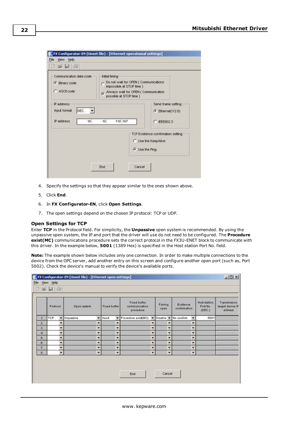| Communication data code<br>G Binary code<br>C ASCII code              | Initial timing<br>Do not wait for OPEN (Communications<br>impossible at STOP time )<br>Always wait for OPEN (Communication<br>possible at STOP time ) |                                                                                           |
|-----------------------------------------------------------------------|-------------------------------------------------------------------------------------------------------------------------------------------------------|-------------------------------------------------------------------------------------------|
| P address<br>DEC. <b>v</b><br><b>Input format</b><br>IP address<br>10 | 110 107<br>10                                                                                                                                         | Send frame setting<br>$F$ Ethernet( $V2.0$ )<br>IFFF802.3<br>C                            |
|                                                                       |                                                                                                                                                       | TCP Existence confirmation setting<br><b>C</b> Use the KeepAlive<br><b>G</b> Use the Ping |

- 4. Specify the settings so that they appear similar to the ones shown above.
- 5. Click **End**.
- 6. In **FX Configurator-EN**, click **Open Settings**.
- 7. The open settings depend on the chosen IP protocol: TCP or UDP.

#### **Open Settings for TCP**

Enter **TCP** in the Protocol field. For simplicity, the **Unpassive** open system is recommended. By using the unpassive open system, the IP and port that the driver will use do not need to be configured. The **Procedure exist(MC)** communications procedure sets the correct protocol in the FX3U-ENET block to communicate with this driver. In the example below, **5001** (1389 Hex) is specified in the Host station Port No. field.

**Note:** The example shown below includes only one connection. In order to make multiple connections to the device from the OPC server, add another entry on this screen and configure another open port (such as, Port 5002). Check the device's manual to verify the device's available ports.

|           | Protocol   | Open system              |                          | Fixed buffer             | Fored buffer<br>communication<br>procedure |                          | Pairing<br>open          | Existence<br>confirmation |                          | Host station<br>Port No.<br>(DEC.) | Transmission<br>target device IF<br>address |
|-----------|------------|--------------------------|--------------------------|--------------------------|--------------------------------------------|--------------------------|--------------------------|---------------------------|--------------------------|------------------------------------|---------------------------------------------|
| л         | <b>TCP</b> | Unpassive                | ٠                        | Send<br>۰                | Procedure exist(MC)                        | ٠                        | Disable >                | No confirm                | $\overline{\phantom{a}}$ | 5001                               |                                             |
| $\bar{2}$ |            |                          | ۰                        | ۰                        |                                            | ۳                        | $\overline{\phantom{a}}$ |                           | $\overline{\phantom{a}}$ |                                    |                                             |
| s.        |            |                          | ۰                        | ÷                        |                                            | ۳                        | ۳                        |                           | $\ddot{}$                |                                    |                                             |
| 4         |            | ٠                        | ×                        | ۰                        |                                            | ۰                        | $\overline{\phantom{a}}$ |                           | ×                        |                                    |                                             |
| 5         |            | ٠                        | $\overline{\phantom{a}}$ | $\overline{\phantom{a}}$ |                                            | $\overline{\phantom{a}}$ | $\overline{\phantom{a}}$ |                           | $\overline{\phantom{a}}$ |                                    |                                             |
| o         |            | ۷                        | ۰                        | ۰                        |                                            | ۳                        | ۳                        |                           | ۰                        |                                    |                                             |
| 7         |            | ۰                        | ۰                        | ۰                        |                                            | ۰                        | $\overline{\phantom{a}}$ |                           | ×                        |                                    |                                             |
| 8         |            | $\overline{\phantom{a}}$ | ۰                        | ۰                        |                                            | $\overline{\phantom{a}}$ | $\overline{\phantom{a}}$ |                           | $\blacksquare$           |                                    |                                             |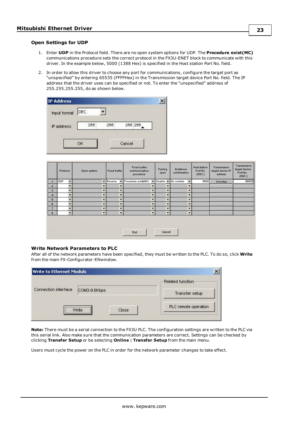#### **Open Settings for UDP**

- 1. Enter **UDP** in the Protocol field. There are no open system options for UDP. The **Procedure exist(MC)** communications procedure sets the correct protocol in the FX3U-ENET block to communicate with this driver. In the example below, 5000 (1388 Hex) is specified in the Host station Port No. field.
- 2. In order to allow this driver to choose any port for communications, configure the target port as "unspecified" by entering 65535 (FFFFHex) in the Transmission target device Port No. field. The IP address that the driver uses can be specified or not. To enter the "unspecified" address of 255.255.255.255, do as shown below.

| Input format | DEC. |     |        |         |  |
|--------------|------|-----|--------|---------|--|
| IP address   | 255  | 255 |        | 255 255 |  |
|              |      |     | Cancel |         |  |

|                         | Protocol      |                          | Open system              | Fixed buffer     |                          | Fixed buffer<br>communication<br>procedure |                          | Pairing<br>open  |                          | Existence<br>confirmation |                          | Host station<br>Port No.<br>(DEC.) | Transmission<br>target device IP<br>address | Transmission<br>target device<br>Port No.<br>(DEC.) |
|-------------------------|---------------|--------------------------|--------------------------|------------------|--------------------------|--------------------------------------------|--------------------------|------------------|--------------------------|---------------------------|--------------------------|------------------------------------|---------------------------------------------|-----------------------------------------------------|
| $\overline{1}$          | UDP           | ٠                        | ۰                        | Receive <b>v</b> |                          | Procedure exist(MC)                        | ×                        | Disable <b>v</b> |                          | No confirm                |                          | 5000                               | Simultan                                    | 65535                                               |
| $\overline{\mathbf{z}}$ |               | $\overline{\phantom{a}}$ | ٠                        |                  | ▬                        |                                            |                          |                  | $\overline{}$            |                           | ≂                        |                                    |                                             |                                                     |
| $\overline{\mathbf{3}}$ |               | ٠                        | $\overline{\phantom{a}}$ |                  | ٠                        |                                            | ۰                        |                  | $\overline{\phantom{a}}$ |                           | ٠                        |                                    |                                             |                                                     |
| 4                       |               | ٠                        | $\overline{\phantom{a}}$ |                  | $\overline{\phantom{a}}$ |                                            | $\overline{\phantom{a}}$ |                  | $\overline{\phantom{a}}$ |                           | $\overline{\phantom{a}}$ |                                    |                                             |                                                     |
| 5                       |               | ۳                        | ۰                        |                  | $\overline{\phantom{a}}$ |                                            | $\overline{\phantom{a}}$ |                  | $\overline{\phantom{a}}$ |                           | ▼                        |                                    |                                             |                                                     |
| $\circ$                 |               |                          | ٠                        |                  | ≂                        |                                            | ۰                        |                  | ۰                        |                           | ≂                        |                                    |                                             |                                                     |
| $\overline{7}$          |               | $\overline{\phantom{0}}$ | $\overline{\phantom{a}}$ |                  | ▾                        |                                            |                          |                  | $\overline{\phantom{a}}$ |                           | $\overline{\phantom{a}}$ |                                    |                                             |                                                     |
| $\circ$                 |               | ۰                        | $\overline{\phantom{a}}$ |                  | $\overline{\phantom{a}}$ |                                            | $\overline{\phantom{a}}$ |                  | ۰                        |                           | $\overline{\phantom{a}}$ |                                    |                                             |                                                     |
|                         | Cancel<br>End |                          |                          |                  |                          |                                            |                          |                  |                          |                           |                          |                                    |                                             |                                                     |

#### **Write Network Parameters to PLC**

After all of the network parameters have been specified, they must be written to the PLC. To do so, click **Write** from the main FX-Configurator-ENwindow.

| <b>Write to Ethernet Moduls</b> |                    |                      |
|---------------------------------|--------------------|----------------------|
|                                 |                    | Related function     |
| Connection interface            | COM3-9.6Kbps       | Transfer setup       |
|                                 | <br>Close<br>Write | PLC remote operation |

**Note:** There must be a serial connection to the FX3U PLC. The configuration settings are written to the PLC via this serial link. Also make sure that the communication parameters are correct. Settings can be checked by clicking **Transfer Setup** or be selecting **Online** | **Transfer Setup** from the main menu.

Users must cycle the power on the PLC in order for the network parameter changes to take effect.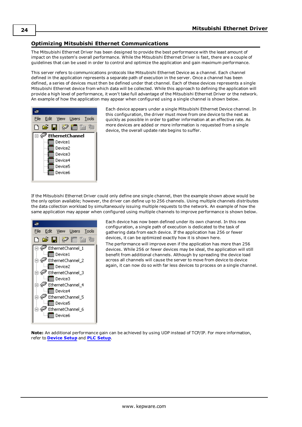# <span id="page-23-0"></span>**Optimizing Mitsubishi Ethernet Communications**

The Mitsubishi Ethernet Driver has been designed to provide the best performance with the least amount of impact on the system's overall performance. While the Mitsubishi Ethernet Driver is fast, there are a couple of guidelines that can be used in order to control and optimize the application and gain maximum performance.

This server refers to communications protocols like Mitsubishi Ethernet Device as a channel. Each channel defined in the application represents a separate path of execution in the server. Once a channel has been defined, a series of devices must then be defined under that channel. Each of these devices represents a single Mitsubishi Ethernet device from which data will be collected. While this approach to defining the application will provide a high level of performance, it won't take full advantage of the Mitsubishi Ethernet Driver or the network. An example of how the application may appear when configured using a single channel is shown below.



Each device appears under a single Mitsubishi Ethernet Device channel. In this configuration, the driver must move from one device to the next as quickly as possible in order to gather information at an effective rate. As more devices are added or more information is requested from a single device, the overall update rate begins to suffer.

If the Mitsubishi Ethernet Driver could only define one single channel, then the example shown above would be the only option available; however, the driver can define up to 256 channels. Using multiple channels distributes the data collection workload by simultaneously issuing multiple requests to the network. An example of how the same application may appear when configured using multiple channels to improve performance is shown below.



Each device has now been defined under its own channel. In this new configuration, a single path of execution is dedicated to the task of gathering data from each device. If the application has 256 or fewer devices, it can be optimized exactly how it is shown here.

The performance will improve even if the application has more than 256 devices. While 256 or fewer devices may be ideal, the application will still benefit from additional channels. Although by spreading the device load across all channels will cause the server to move from device to device again, it can now do so with far less devices to process on a single channel.

**Note:** An additional performance gain can be achieved by using UDP instead of TCP/IP. For more information, refer to **[Device](#page-4-0) Setup** and **PLC [Setup](#page-8-0)**.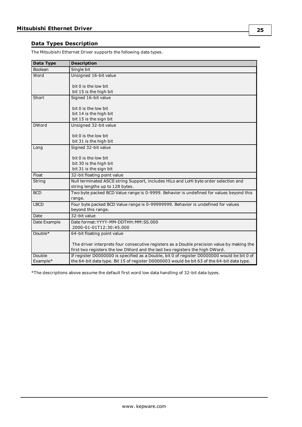# <span id="page-24-0"></span>**Data Types Description**

The Mitsubishi Ethernet Driver supports the following data types.

<span id="page-24-5"></span><span id="page-24-4"></span><span id="page-24-3"></span><span id="page-24-2"></span><span id="page-24-1"></span>

| Data Type    | <b>Description</b>                                                                          |
|--------------|---------------------------------------------------------------------------------------------|
| Boolean      | Single bit                                                                                  |
| Word         | Unsigned 16-bit value                                                                       |
|              | bit 0 is the low bit                                                                        |
|              | bit 15 is the high bit                                                                      |
| Short        | Signed 16-bit value                                                                         |
|              |                                                                                             |
|              | bit 0 is the low bit                                                                        |
|              | bit 14 is the high bit                                                                      |
|              | bit 15 is the sign bit                                                                      |
| <b>DWord</b> | Unsigned 32-bit value                                                                       |
|              |                                                                                             |
|              | bit 0 is the low bit<br>bit 31 is the high bit                                              |
|              |                                                                                             |
| Long         | Signed 32-bit value                                                                         |
|              | bit 0 is the low bit                                                                        |
|              | bit 30 is the high bit                                                                      |
|              | bit 31 is the sign bit                                                                      |
| Float        | 32-bit floating point value                                                                 |
| String       | Null terminated ASCII string Support, includes HiLo and LoHi byte order selection and       |
|              | string lengths up to 128 bytes.                                                             |
| <b>BCD</b>   | Two byte packed BCD Value range is 0-9999. Behavior is undefined for values beyond this     |
|              | range.                                                                                      |
| <b>LBCD</b>  | Four byte packed BCD Value range is 0-99999999. Behavior is undefined for values            |
|              | beyond this range.                                                                          |
| Date         | 32-bit value                                                                                |
| Date Example | Date format: YYYY-MM-DDTHH: MM: SS.000                                                      |
|              | 2000-01-01T12:30:45.000                                                                     |
| Double*      | 64-bit floating point value                                                                 |
|              | The driver interprets four consecutive registers as a Double precision value by making the  |
|              | first two registers the low DWord and the last two registers the high DWord.                |
| Double       | If register D0000000 is specified as a Double, bit 0 of register D0000000 would be bit 0 of |
| Example*     | the 64-bit data type. Bit 15 of register D0000003 would be bit 63 of the 64-bit data type.  |

\*The descriptions above assume the default first word low data handling of 32-bit data types.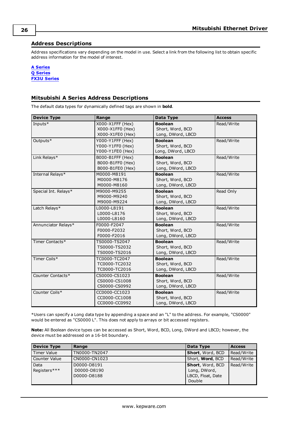# <span id="page-25-0"></span>**Address Descriptions**

Address specifications vary depending on the model in use. Select a link from the following list to obtain specific address information for the model of interest.

**A [Series](#page-25-1) Q [Series](#page-27-0) FX3U [Series](#page-31-0)**

# <span id="page-25-1"></span>**Mitsubishi A Series Address Descriptions**

The default data types for dynamically defined tags are shown in **bold**.

| <b>Device Type</b>   | Range            | Data Type         | <b>Access</b> |
|----------------------|------------------|-------------------|---------------|
| Inputs $*$           | X000-X1FFF (Hex) | <b>Boolean</b>    | Read/Write    |
|                      | X000-X1FF0 (Hex) | Short, Word, BCD  |               |
|                      | X000-X1FE0 (Hex) | Long, DWord, LBCD |               |
| Outputs*             | Y000-Y1FFF (Hex) | <b>Boolean</b>    | Read/Write    |
|                      | Y000-Y1FF0 (Hex) | Short, Word, BCD  |               |
|                      | Y000-Y1FE0 (Hex) | Long, DWord, LBCD |               |
| Link Relays*         | B000-B1FFF (Hex) | <b>Boolean</b>    | Read/Write    |
|                      | B000-B1FF0 (Hex) | Short, Word, BCD  |               |
|                      | B000-B1FE0 (Hex) | Long, DWord, LBCD |               |
| Internal Relays*     | M0000-M8191      | <b>Boolean</b>    | Read/Write    |
|                      | M0000-M8176      | Short, Word, BCD  |               |
|                      | M0000-M8160      | Long, DWord, LBCD |               |
| Special Int. Relays* | M9000-M9255      | <b>Boolean</b>    | Read Only     |
|                      | M9000-M9240      | Short, Word, BCD  |               |
|                      | M9000-M9224      | Long, DWord, LBCD |               |
| Latch Relays*        | L0000-L8191      | <b>Boolean</b>    | Read/Write    |
|                      | L0000-L8176      | Short, Word, BCD  |               |
|                      | L0000-L8160      | Long, DWord, LBCD |               |
| Annunciator Relays*  | F0000-F2047      | <b>Boolean</b>    | Read/Write    |
|                      | F0000-F2032      | Short, Word, BCD  |               |
|                      | F0000-F2016      | Long, DWord, LBCD |               |
| Timer Contacts*      | TS0000-TS2047    | <b>Boolean</b>    | Read/Write    |
|                      | TS0000-TS2032    | Short, Word, BCD  |               |
|                      | TS0000-TS2016    | Long, DWord, LBCD |               |
| Timer Coils*         | TC0000-TC2047    | <b>Boolean</b>    | Read/Write    |
|                      | TC0000-TC2032    | Short, Word, BCD  |               |
|                      | TC0000-TC2016    | Long, DWord, LBCD |               |
| Counter Contacts*    | CS0000-CS1023    | <b>Boolean</b>    | Read/Write    |
|                      | CS0000-CS1008    | Short, Word, BCD  |               |
|                      | CS0000-CS0992    | Long, DWord, LBCD |               |
| Counter Coils*       | CC0000-CC1023    | <b>Boolean</b>    | Read/Write    |
|                      | CC0000-CC1008    | Short, Word, BCD  |               |
|                      | CC0000-CC0992    | Long, DWord, LBCD |               |

\*Users can specify a Long data type by appending a space and an "L" to the address. For example, "CS0000" would be entered as "CS0000 L". This does not apply to arrays or bit accessed registers.

**Note:** All Boolean device types can be accessed as Short, Word, BCD, Long, DWord and LBCD; however, the device must be addressed on a 16-bit boundary.

| <b>Device Type</b> | Range         | Data Type                | <b>Access</b> |
|--------------------|---------------|--------------------------|---------------|
| Timer Value        | TN0000-TN2047 | <b>Short, Word, BCD</b>  | Read/Write    |
| Counter Value      | CN0000-CN1023 | Short, <b>Word</b> , BCD | Read/Write    |
| Data               | D0000-D8191   | <b>Short</b> , Word, BCD | Read/Write    |
| Registers***       | D0000-D8190   | Long, DWord,             |               |
|                    | D0000-D8188   | LBCD, Float, Date        |               |
|                    |               | Double                   |               |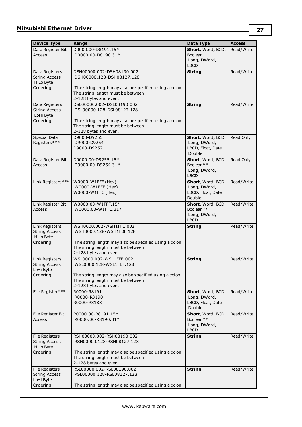| <b>Device Type</b>                     | Range                                                      | Data Type                      | <b>Access</b> |
|----------------------------------------|------------------------------------------------------------|--------------------------------|---------------|
| Data Register Bit                      | D0000.00-D8191.15*                                         | Short, Word, BCD,              | Read/Write    |
| Access                                 | D0000.00-D8190.31*                                         | Boolean                        |               |
|                                        |                                                            | Long, DWord,                   |               |
|                                        |                                                            | <b>LBCD</b>                    |               |
| Data Registers                         | DSH00000.002-DSH08190.002                                  | <b>String</b>                  | Read/Write    |
| <b>String Access</b>                   | DSH00000.128-DSH08127.128                                  |                                |               |
| HiLo Byte                              |                                                            |                                |               |
| Ordering                               | The string length may also be specified using a colon.     |                                |               |
|                                        | The string length must be between<br>2-128 bytes and even. |                                |               |
| Data Registers                         | DSL00000.002-DSL08190.002                                  | <b>String</b>                  | Read/Write    |
| <b>String Access</b>                   | DSL00000.128-DSL08127.128                                  |                                |               |
| LoHi Byte                              |                                                            |                                |               |
| Ordering                               | The string length may also be specified using a colon.     |                                |               |
|                                        | The string length must be between                          |                                |               |
|                                        | 2-128 bytes and even.                                      |                                |               |
| <b>Special Data</b>                    | D9000-D9255                                                | Short, Word, BCD               | Read Only     |
| Registers***                           | D9000-D9254                                                | Long, DWord,                   |               |
|                                        | D9000-D9252                                                | LBCD, Float, Date<br>Double    |               |
| Data Register Bit                      | D9000.00-D9255.15*                                         | Short, Word, BCD,              | Read Only     |
| <b>Access</b>                          | D9000.00-D9254.31*                                         | Boolean <sup>**</sup>          |               |
|                                        |                                                            | Long, DWord,                   |               |
|                                        |                                                            | <b>LBCD</b>                    |               |
| Link Registers***                      | W0000-W1FFF (Hex)                                          | Short, Word, BCD               | Read/Write    |
|                                        | W0000-W1FFE (Hex)                                          | Long, DWord,                   |               |
|                                        | W0000-W1FFC (Hex)                                          | LBCD, Float, Date              |               |
|                                        |                                                            | Double                         |               |
| Link Register Bit                      | W0000.00-W1FFF.15*                                         | Short, Word, BCD,              | Read/Write    |
| Access                                 | W0000.00-W1FFE.31*                                         | Boolean**<br>Long, DWord,      |               |
|                                        |                                                            | <b>LBCD</b>                    |               |
| Link Registers                         | WSH0000.002-WSH1FFE.002                                    | <b>String</b>                  | Read/Write    |
| <b>String Access</b>                   | WSH0000.128-WSH1FBF.128                                    |                                |               |
| HiLo Byte                              |                                                            |                                |               |
| Ordering                               | The string length may also be specified using a colon.     |                                |               |
|                                        | The string length must be between                          |                                |               |
|                                        | 2-128 bytes and even.                                      |                                |               |
| Link Registers                         | WSL0000.002-WSL1FFE.002                                    | <b>String</b>                  | Read/Write    |
| <b>String Access</b><br>LoHi Byte      | WSL0000.128-WSL1FBF.128                                    |                                |               |
| Ordering                               | The string length may also be specified using a colon.     |                                |               |
|                                        | The string length must be between                          |                                |               |
|                                        | 2-128 bytes and even.                                      |                                |               |
| File Register***                       | R0000-R8191                                                | Short, Word, BCD               | Read/Write    |
|                                        | R0000-R8190                                                | Long, DWord,                   |               |
|                                        | R0000-R8188                                                | LBCD, Float, Date<br>Double    |               |
|                                        |                                                            |                                |               |
| File Register Bit<br>Access            | R0000.00-R8191.15*<br>R0000.00-R8190.31*                   | Short, Word, BCD,<br>Boolean** | Read/Write    |
|                                        |                                                            | Long, DWord,                   |               |
|                                        |                                                            | <b>LBCD</b>                    |               |
| File Registers                         | RSH00000.002-RSH08190.002                                  | <b>String</b>                  | Read/Write    |
| <b>String Access</b>                   | RSH00000.128-RSH08127.128                                  |                                |               |
| HiLo Byte                              |                                                            |                                |               |
| Ordering                               | The string length may also be specified using a colon.     |                                |               |
|                                        | The string length must be between                          |                                |               |
|                                        | 2-128 bytes and even.                                      |                                |               |
| File Registers<br><b>String Access</b> | RSL00000.002-RSL08190.002<br>RSL00000.128-RSL08127.128     | <b>String</b>                  | Read/Write    |
| LoHi Byte                              |                                                            |                                |               |
| Ordering                               | The string length may also be specified using a colon.     |                                |               |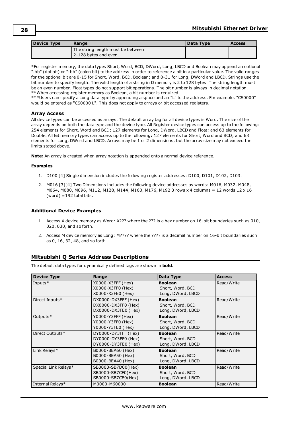| <b>Device Type</b> | Range                             | Data Type | <b>Access</b> |
|--------------------|-----------------------------------|-----------|---------------|
|                    | The string length must be between |           |               |
|                    | 2-128 bytes and even.             |           |               |

\*For register memory, the data types Short, Word, BCD, DWord, Long, LBCD and Boolean may append an optional ".bb" (dot bit) or ":bb" (colon bit) to the address in order to reference a bit in a particular value. The valid ranges for the optional bit are 0-15 for Short, Word, BCD, Boolean; and 0-31 for Long, DWord and LBCD. Strings use the bit number to specify length. The valid length of a string in D memory is 2 to 128 bytes. The string length must be an even number. Float types do not support bit operations. The bit number is always in decimal notation. \*\*When accessing register memory as Boolean, a bit number is required.

\*\*\*Users can specify a Long data type by appending a space and an "L" to the address. For example, "CS0000" would be entered as "CS0000 L". This does not apply to arrays or bit accessed registers.

## **Array Access**

All device types can be accessed as arrays. The default array tag for all device types is Word. The size of the array depends on both the data type and the device type. All Register device types can access up to the following: 254 elements for Short, Word and BCD; 127 elements for Long, DWord, LBCD and Float; and 63 elements for Double. All Bit memory types can access up to the following: 127 elements for Short, Word and BCD; and 63 elements for Long, DWord and LBCD. Arrays may be 1 or 2 dimensions, but the array size may not exceed the limits stated above.

**Note:** An array is created when array notation is appended onto a normal device reference.

#### **Examples**

- 1. D100 [4] Single dimension includes the following register addresses: D100, D101, D102, D103.
- 2. M016 [3][4] Two Dimensions includes the following device addresses as words: M016, M032, M048, M064, M080, M096, M112, M128, M144, M160, M176, M192 3 rows x 4 columns = 12 words 12 x 16  $(word) = 192$  total bits.

# **Additional Device Examples**

- 1. Access X device memory as Word: X??? where the ??? is a hex number on 16-bit boundaries such as 010, 020, 030, and so forth.
- 2. Access M device memory as Long: M???? where the ???? is a decimal number on 16-bit boundaries such as 0, 16, 32, 48, and so forth.

# <span id="page-27-0"></span>**Mitsubishi Q Series Address Descriptions**

The default data types for dynamically defined tags are shown in **bold**.

| <b>Device Type</b>   | Range                                                             | Data Type                                               | <b>Access</b> |
|----------------------|-------------------------------------------------------------------|---------------------------------------------------------|---------------|
| Inputs $*$           | X0000-X3FFF (Hex)<br>X0000-X3FF0 (Hex)<br>X0000-X3FE0 (Hex)       | <b>Boolean</b><br>Short, Word, BCD<br>Long, DWord, LBCD | Read/Write    |
| Direct Inputs*       | DX0000-DX3FFF (Hex)<br>DX0000-DX3FF0 (Hex)<br>DX0000-DX3FE0 (Hex) | <b>Boolean</b><br>Short, Word, BCD<br>Long, DWord, LBCD | Read/Write    |
| Outputs <sup>*</sup> | Y0000-Y3FFF (Hex)<br>Y0000-Y3FF0 (Hex)<br>Y0000-Y3FE0 (Hex)       | <b>Boolean</b><br>Short, Word, BCD<br>Long, DWord, LBCD | Read/Write    |
| Direct Outputs*      | DY0000-DY3FFF (Hex)<br>DY0000-DY3FF0 (Hex)<br>DY0000-DY3FE0 (Hex) | <b>Boolean</b><br>Short, Word, BCD<br>Long, DWord, LBCD | Read/Write    |
| Link Relays*         | B0000-BEA60 (Hex)<br>B0000-BEA50 (Hex)<br>B0000-BEA40 (Hex)       | <b>Boolean</b><br>Short, Word, BCD<br>Long, DWord, LBCD | Read/Write    |
| Special Link Relays* | SB0000-SB7D00(Hex)<br>SB0000-SB7CF0(Hex)<br>SB0000-SB7CE0(Hex)    | <b>Boolean</b><br>Short, Word, BCD<br>Long, DWord, LBCD | Read/Write    |
| Internal Relays*     | M0000-M60000                                                      | <b>Boolean</b>                                          | Read/Write    |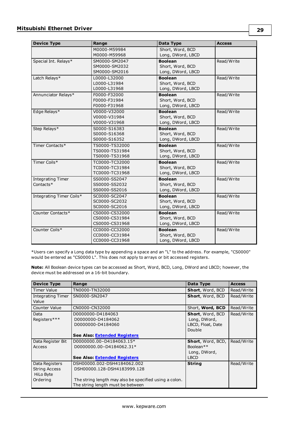| <b>Device Type</b>                    | Range                                              | Data Type                                               | <b>Access</b> |
|---------------------------------------|----------------------------------------------------|---------------------------------------------------------|---------------|
|                                       | M0000-M59984<br>M0000-M59968                       | Short, Word, BCD<br>Long, DWord, LBCD                   |               |
| Special Int. Relays*                  | SM0000-SM2047<br>SM0000-SM2032<br>SM0000-SM2016    | <b>Boolean</b><br>Short, Word, BCD<br>Long, DWord, LBCD | Read/Write    |
| Latch Relays*                         | L0000-L32000<br>L0000-L31984<br>L0000-L31968       | <b>Boolean</b><br>Short, Word, BCD<br>Long, DWord, LBCD | Read/Write    |
| Annunciator Relays*                   | F0000-F32000<br>F0000-F31984<br>F0000-F31968       | <b>Boolean</b><br>Short, Word, BCD<br>Long, DWord, LBCD | Read/Write    |
| Edge Relays*                          | V0000-V32000<br>V0000-V31984<br>V0000-V31968       | <b>Boolean</b><br>Short, Word, BCD<br>Long, DWord, LBCD | Read/Write    |
| Step Relays*                          | S0000-S16383<br>S0000-S16368<br>S0000-S16352       | <b>Boolean</b><br>Short, Word, BCD<br>Long, DWord, LBCD | Read/Write    |
| Timer Contacts*                       | TS0000-TS32000<br>TS0000-TS31984<br>TS0000-TS31968 | <b>Boolean</b><br>Short, Word, BCD<br>Long, DWord, LBCD | Read/Write    |
| Timer Coils*                          | TC0000-TC32000<br>TC0000-TC31984<br>TC0000-TC31968 | <b>Boolean</b><br>Short, Word, BCD<br>Long, DWord, LBCD | Read/Write    |
| <b>Integrating Timer</b><br>Contacts* | SS0000-SS2047<br>SS0000-SS2032<br>SS0000-SS2016    | <b>Boolean</b><br>Short, Word, BCD<br>Long, DWord, LBCD | Read/Write    |
| Integrating Timer Coils*              | SC0000-SC2047<br>SC0000-SC2032<br>SC0000-SC2016    | <b>Boolean</b><br>Short, Word, BCD<br>Long, DWord, LBCD | Read/Write    |
| Counter Contacts*                     | CS0000-CS32000<br>CS0000-CS31984<br>CS0000-CS31968 | <b>Boolean</b><br>Short, Word, BCD<br>Long, DWord, LBCD | Read/Write    |
| Counter Coils*                        | CC0000-CC32000<br>CC0000-CC31984<br>CC0000-CC31968 | <b>Boolean</b><br>Short, Word, BCD<br>Long, DWord, LBCD | Read/Write    |

\*Users can specify a Long data type by appending a space and an "L" to the address. For example, "CS0000" would be entered as "CS0000 L". This does not apply to arrays or bit accessed registers.

**Note:** All Boolean device types can be accessed as Short, Word, BCD, Long, DWord and LBCD; however, the device must be addressed on a 16-bit boundary.

| <b>Device Type</b>         | Range                                                  | Data Type             | <b>Access</b> |
|----------------------------|--------------------------------------------------------|-----------------------|---------------|
| <b>Timer Value</b>         | TN0000-TN32000                                         | Short, Word, BCD      | Read/Write    |
| Integrating Timer<br>Value | SN0000-SN2047                                          | Short, Word, BCD      | Read/Write    |
| <b>Counter Value</b>       | CN0000-CN32000                                         | Short, Word, BCD      | Read/Write    |
| Data                       | D0000000-D4184063                                      | Short, Word, BCD      | Read/Write    |
| Registers***               | D0000000-D4184062                                      | Long, DWord,          |               |
|                            | D0000000-D4184060                                      | LBCD, Float, Date     |               |
|                            |                                                        | Double                |               |
|                            | <b>See Also: Extended Registers</b>                    |                       |               |
| Data Register Bit          | D0000000.00-D4184063.15*                               | Short, Word, BCD,     | Read/Write    |
| Access                     | D0000000.00-D4184062.31*                               | Boolean <sup>**</sup> |               |
|                            |                                                        | Long, DWord,          |               |
|                            | <b>See Also: Extended Registers</b>                    | <b>LBCD</b>           |               |
| Data Registers             | DSH00000.002-DSH4184062.002                            | <b>String</b>         | Read/Write    |
| <b>String Access</b>       | DSH00000.128-DSH4183999.128                            |                       |               |
| HiLo Byte                  |                                                        |                       |               |
| Ordering                   | The string length may also be specified using a colon. |                       |               |
|                            | The string length must be between                      |                       |               |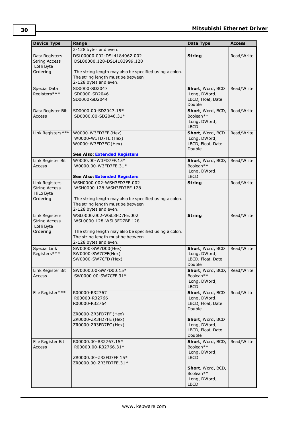| <b>Device Type</b>                                  | Range                                                                                                                | Data Type                                                       | <b>Access</b> |
|-----------------------------------------------------|----------------------------------------------------------------------------------------------------------------------|-----------------------------------------------------------------|---------------|
|                                                     | 2-128 bytes and even.                                                                                                |                                                                 |               |
| Data Registers<br><b>String Access</b><br>LoHi Byte | DSL00000.002-DSL4184062.002<br>DSL00000.128-DSL4183999.128                                                           | <b>String</b>                                                   | Read/Write    |
| Ordering                                            | The string length may also be specified using a colon.<br>The string length must be between<br>2-128 bytes and even. |                                                                 |               |
| Special Data                                        | SD0000-SD2047                                                                                                        | Short, Word, BCD                                                | Read/Write    |
| Registers***                                        | SD0000-SD2046<br>SD0000-SD2044                                                                                       | Long, DWord,<br>LBCD, Float, Date<br>Double                     |               |
| Data Register Bit<br><b>Access</b>                  | SD0000.00-SD2047.15*<br>SD0000.00-SD2046.31*                                                                         | Short, Word, BCD,<br>Boolean**<br>Long, DWord,<br><b>LBCD</b>   | Read/Write    |
| Link Registers***                                   | W0000-W3FD7FF (Hex)<br>W0000-W3FD7FE (Hex)<br>W0000-W3FD7FC (Hex)<br><b>See Also: Extended Registers</b>             | Short, Word, BCD<br>Long, DWord,<br>LBCD, Float, Date<br>Double | Read/Write    |
| Link Register Bit                                   | W0000.00-W3FD7FF.15*                                                                                                 | Short, Word, BCD,                                               | Read/Write    |
| Access                                              | W0000.00-W3FD7FE.31*                                                                                                 | Boolean**<br>Long, DWord,                                       |               |
|                                                     | <b>See Also: Extended Registers</b>                                                                                  | <b>LBCD</b>                                                     |               |
| Link Registers<br><b>String Access</b><br>HiLo Byte | WSH0000.002-WSH3FD7FE.002<br>WSH0000.128-WSH3FD7BF.128                                                               | <b>String</b>                                                   | Read/Write    |
| Ordering                                            | The string length may also be specified using a colon.<br>The string length must be between<br>2-128 bytes and even. |                                                                 |               |
| Link Registers<br><b>String Access</b><br>LoHi Byte | WSL0000.002-WSL3FD7FE.002<br>WSL0000.128-WSL3FD7BF.128                                                               | <b>String</b>                                                   | Read/Write    |
| Ordering                                            | The string length may also be specified using a colon.<br>The string length must be between<br>2-128 bytes and even. |                                                                 |               |
| <b>Special Link</b><br>Registers***                 | SW0000-SW7D00(Hex)<br>SW0000-SW7CFF(Hex)<br>SW0000-SW7CFD (Hex)                                                      | Short, Word, BCD<br>Long, DWord,<br>LBCD, Float, Date<br>Double | Read/Write    |
| Link Register Bit<br>Access                         | SW0000.00-SW7D00.15*<br>SW0000.00-SW7CFF.31*                                                                         | Short, Word, BCD,<br>Boolean**<br>Long, DWord,<br><b>LBCD</b>   | Read/Write    |
| File Register***                                    | R00000-R32767<br>R00000-R32766<br>R00000-R32764                                                                      | Short, Word, BCD<br>Long, DWord,<br>LBCD, Float, Date<br>Double | Read/Write    |
|                                                     | ZR0000-ZR3FD7FF (Hex)<br>ZR0000-ZR3FD7FE (Hex)<br>ZR0000-ZR3FD7FC (Hex)                                              | Short, Word, BCD<br>Long, DWord,<br>LBCD, Float, Date<br>Double |               |
| File Register Bit<br>Access                         | R00000.00-R32767.15*<br>R00000.00-R32766.31*                                                                         | Short, Word, BCD,<br>Boolean**<br>Long, DWord,                  | Read/Write    |
|                                                     | ZR0000.00-ZR3FD7FF.15*<br>ZR0000.00-ZR3FD7FE.31*                                                                     | <b>LBCD</b><br>Short, Word, BCD,                                |               |
|                                                     |                                                                                                                      | Boolean**<br>Long, DWord,<br><b>LBCD</b>                        |               |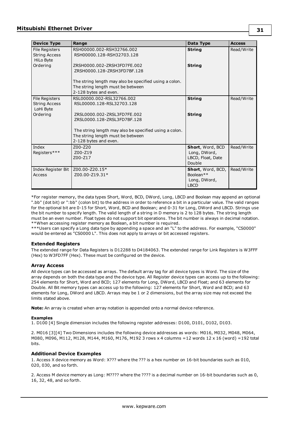| <b>Device Type</b>                                         | Range                                                                                                                | Data Type                                                                 | <b>Access</b> |
|------------------------------------------------------------|----------------------------------------------------------------------------------------------------------------------|---------------------------------------------------------------------------|---------------|
| <b>File Registers</b><br><b>String Access</b><br>HiLo Byte | RSH00000.002-RSH32766.002<br>RSH00000.128-RSH32703.128                                                               | <b>String</b>                                                             | Read/Write    |
| Ordering                                                   | ZRSH0000.002-ZRSH3FD7FE.002<br>ZRSH0000.128-ZRSH3FD7BF.128                                                           | <b>String</b>                                                             |               |
|                                                            | The string length may also be specified using a colon.<br>The string length must be between<br>2-128 bytes and even. |                                                                           |               |
| File Registers<br><b>String Access</b><br>LoHi Byte        | RSL00000.002-RSL32766.002<br>RSL00000.128-RSL32703.128                                                               | <b>String</b>                                                             | Read/Write    |
| Ordering                                                   | ZRSL0000.002-ZRSL3FD7FE.002<br>ZRSL0000.128-ZRSL3FD7BF.128                                                           | <b>String</b>                                                             |               |
|                                                            | The string length may also be specified using a colon.<br>The string length must be between<br>2-128 bytes and even. |                                                                           |               |
| Index<br>Registers***                                      | Z00-Z20<br>Z00-Z19<br>Z00-Z17                                                                                        | Short, Word, BCD<br>Long, DWord,<br>LBCD, Float, Date<br>Double           | Read/Write    |
| Index Register Bit<br>Access                               | Z00.00-Z20.15*<br>Z00.00-Z19.31*                                                                                     | Short, Word, BCD,<br>Boolean <sup>**</sup><br>Long, DWord,<br><b>LBCD</b> | Read/Write    |

\*For register memory, the data types Short, Word, BCD, DWord, Long, LBCD and Boolean may append an optional ".bb" (dot bit) or ":bb" (colon bit) to the address in order to reference a bit in a particular value. The valid ranges for the optional bit are 0-15 for Short, Word, BCD and Boolean; and 0-31 for Long, DWord and LBCD. Strings use the bit number to specify length. The valid length of a string in D memory is 2 to 128 bytes. The string length must be an even number. Float types do not support bit operations. The bit number is always in decimal notation. \*\*When accessing register memory as Boolean, a bit number is required.

<span id="page-30-0"></span>\*\*\*Users can specify a Long data type by appending a space and an "L" to the address. For example, "CS0000" would be entered as "CS0000 L". This does not apply to arrays or bit accessed registers.

## **Extended Registers**

The extended range for Data Registers is D12288 to D4184063. The extended range for Link Registers is W3FFF (Hex) to W3FD7FF (Hex). These must be configured on the device.

#### **Array Access**

All device types can be accessed as arrays. The default array tag for all device types is Word. The size of the array depends on both the data type and the device type. All Register device types can access up to the following: 254 elements for Short, Word and BCD; 127 elements for Long, DWord, LBCD and Float; and 63 elements for Double. All Bit memory types can access up to the following: 127 elements for Short, Word and BCD; and 63 elements for Long, DWord and LBCD. Arrays may be 1 or 2 dimensions, but the array size may not exceed the limits stated above.

**Note:** An array is created when array notation is appended onto a normal device reference.

#### **Examples**

1. D100 [4] Single dimension includes the following register addresses: D100, D101, D102, D103.

2. M016 [3][4] Two Dimensions includes the following device addresses as words: M016, M032, M048, M064, M080, M096, M112, M128, M144, M160, M176, M192 3 rows x 4 columns =12 words 12 x 16 (word) =192 total bits.

## **Additional Device Examples**

1. Access X device memory as Word: X??? where the ??? is a hex number on 16-bit boundaries such as 010, 020, 030, and so forth.

2. Access M device memory as Long: M???? where the ???? is a decimal number on 16-bit boundaries such as 0, 16, 32, 48, and so forth.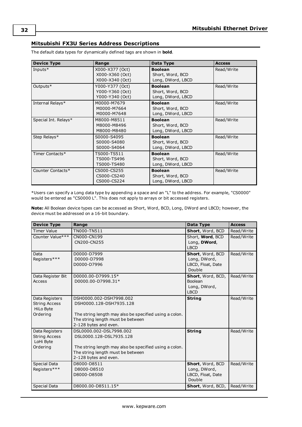# <span id="page-31-0"></span>**Mitsubishi FX3U Series Address Descriptions**

| <b>Device Type</b>   | Range                                                 | Data Type                                               | <b>Access</b> |
|----------------------|-------------------------------------------------------|---------------------------------------------------------|---------------|
| Inputs $*$           | X000-X377 (Oct)<br>X000-X360 (Oct)<br>X000-X340 (Oct) | <b>Boolean</b><br>Short, Word, BCD<br>Long, DWord, LBCD | Read/Write    |
| Outputs*             | Y000-Y377 (Oct)<br>Y000-Y360 (Oct)<br>Y000-Y340 (Oct) | <b>Boolean</b><br>Short, Word, BCD<br>Long, DWord, LBCD | Read/Write    |
| Internal Relays*     | M0000-M7679<br>M0000-M7664<br>M0000-M7648             | <b>Boolean</b><br>Short, Word, BCD<br>Long, DWord, LBCD | Read/Write    |
| Special Int. Relays* | M8000-M8511<br>M8000-M8496<br>M8000-M8480             | <b>Boolean</b><br>Short, Word, BCD<br>Long, DWord, LBCD | Read/Write    |
| Step Relays*         | S0000-S4095<br>S0000-S4080<br>S0000-S4064             | <b>Boolean</b><br>Short, Word, BCD<br>Long, DWord, LBCD | Read/Write    |
| Timer Contacts*      | TS000-TS511<br>TS000-TS496<br>TS000-TS480             | <b>Boolean</b><br>Short, Word, BCD<br>Long, DWord, LBCD | Read/Write    |
| Counter Contacts*    | CS000-CS255<br>CS000-CS240<br>CS000-CS224             | <b>Boolean</b><br>Short, Word, BCD<br>Long, DWord, LBCD | Read/Write    |

The default data types for dynamically defined tags are shown in **bold**.

\*Users can specify a Long data type by appending a space and an "L" to the address. For example, "CS0000" would be entered as "CS0000 L". This does not apply to arrays or bit accessed registers.

**Note:** All Boolean device types can be accessed as Short, Word, BCD, Long, DWord and LBCD; however, the device must be addressed on a 16-bit boundary.

| <b>Device Type</b>   | Range                                                                                       | Data Type                   | <b>Access</b> |
|----------------------|---------------------------------------------------------------------------------------------|-----------------------------|---------------|
| <b>Timer Value</b>   | TN000-TN511                                                                                 | Short, Word, BCD            | Read/Write    |
| Counter Value***     | CN000-CN199                                                                                 | Short, Word, BCD            | Read/Write    |
|                      | CN200-CN255                                                                                 | Long, DWord,<br><b>IBCD</b> |               |
| Data                 | D0000-D7999                                                                                 | Short, Word, BCD            | Read/Write    |
| Registers***         | D0000-D7998                                                                                 | Long, DWord,                |               |
|                      | D0000-D7996                                                                                 | LBCD, Float, Date           |               |
|                      |                                                                                             | Double                      |               |
| Data Register Bit    | D0000.00-D7999.15*                                                                          | Short, Word, BCD,           | Read/Write    |
| Access               | D0000.00-D7998.31*                                                                          | Boolean                     |               |
|                      |                                                                                             | Long, DWord,                |               |
|                      |                                                                                             | <b>LBCD</b>                 |               |
| Data Registers       | DSH0000.002-DSH7998.002                                                                     | <b>String</b>               | Read/Write    |
| <b>String Access</b> | DSH0000.128-DSH7935.128                                                                     |                             |               |
| HiLo Byte            |                                                                                             |                             |               |
| Ordering             | The string length may also be specified using a colon.<br>The string length must be between |                             |               |
|                      | 2-128 bytes and even.                                                                       |                             |               |
| Data Registers       | DSL0000.002-DSL7998.002                                                                     | <b>String</b>               | Read/Write    |
| <b>String Access</b> | DSL0000.128-DSL7935.128                                                                     |                             |               |
| LoHi Byte            |                                                                                             |                             |               |
| Ordering             | The string length may also be specified using a colon.                                      |                             |               |
|                      | The string length must be between                                                           |                             |               |
|                      | 2-128 bytes and even.                                                                       |                             |               |
| <b>Special Data</b>  | D8000-D8511                                                                                 | Short, Word, BCD            | Read/Write    |
| Registers***         | D8000-D8510                                                                                 | Long, DWord,                |               |
|                      | D8000-D8508                                                                                 | LBCD, Float, Date<br>Double |               |
|                      |                                                                                             |                             |               |
| <b>Special Data</b>  | D8000.00-D8511.15*                                                                          | Short, Word, BCD,           | Read/Write    |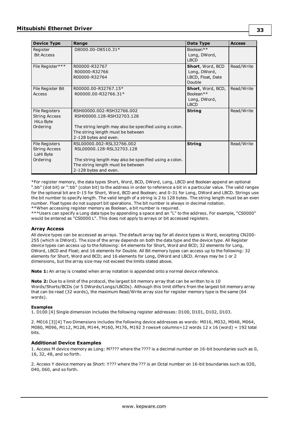| <b>Device Type</b>                                                     | Range                                                                                                                                                                          | Data Type                                                                 | <b>Access</b> |
|------------------------------------------------------------------------|--------------------------------------------------------------------------------------------------------------------------------------------------------------------------------|---------------------------------------------------------------------------|---------------|
| Register<br><b>Bit Access</b>                                          | D8000.00-D8510.31*                                                                                                                                                             | Boolean**<br>Long, DWord,<br><b>LBCD</b>                                  |               |
| File Register***                                                       | R00000-R32767<br>R00000-R32766<br>R00000-R32764                                                                                                                                | Short, Word, BCD<br>Long, DWord,<br>LBCD, Float, Date<br>Double           | Read/Write    |
| File Register Bit<br>Access                                            | R00000.00-R32767.15*<br>R00000.00-R32766.31*                                                                                                                                   | Short, Word, BCD,<br>Boolean <sup>**</sup><br>Long, DWord,<br><b>LBCD</b> | Read/Write    |
| File Registers<br><b>String Access</b><br><b>HiLo Byte</b><br>Ordering | RSH00000.002-RSH32766.002<br>RSH00000.128-RSH32703.128<br>The string length may also be specified using a colon.<br>The string length must be between<br>2-128 bytes and even. | <b>String</b>                                                             | Read/Write    |
| File Registers<br><b>String Access</b><br>LoHi Byte<br>Ordering        | RSL00000.002-RSL32766.002<br>RSL00000.128-RSL32703.128<br>The string length may also be specified using a colon.<br>The string length must be between<br>2-128 bytes and even. | <b>String</b>                                                             | Read/Write    |

\*For register memory, the data types Short, Word, BCD, DWord, Long, LBCD and Boolean append an optional ".bb" (dot bit) or ":bb" (colon bit) to the address in order to reference a bit in a particular value. The valid ranges for the optional bit are 0-15 for Short, Word, BCD and Boolean; and 0-31 for Long, DWord and LBCD. Strings use the bit number to specify length. The valid length of a string is 2 to 128 bytes. The string length must be an even number. Float types do not support bit operations. The bit number is always in decimal notation. \*\*When accessing register memory as Boolean, a bit number is required.

\*\*\*Users can specify a Long data type by appending a space and an "L" to the address. For example, "CS0000" would be entered as "CS0000 L". This does not apply to arrays or bit accessed registers.

## **Array Access**

All device types can be accessed as arrays. The default array tag for all device types is Word, excepting CN200- 255 (which is DWord). The size of the array depends on both the data type and the device type. All Register device types can access up to the following: 64 elements for Short, Word and BCD; 32 elements for Long, DWord, LBCD and Float; and 16 elements for Double. All Bit memory types can access up to the following: 32 elements for Short, Word and BCD; and 16 elements for Long, DWord and LBCD. Arrays may be 1 or 2 dimensions, but the array size may not exceed the limits stated above.

**Note 1:** An array is created when array notation is appended onto a normal device reference.

**Note 2:** Due to a limit of the protocol, the largest bit memory array that can be written to is 10 Words/Shorts/BCDs (or 5 DWords/Longs/LBCDs). Although this limit differs from the largest bit memory array that can be read (32 words), the maximum Read/Write array size for register memory type is the same (64 words).

#### **Examples**

1. D100 [4] Single dimension includes the following register addresses: D100, D101, D102, D103.

2. M016 [3][4] Two Dimensions includes the following device addresses as words: M016, M032, M048, M064, M080, M096, M112, M128, M144, M160, M176, M192 3 rowsx4 columns=12 words 12 x 16 (word) = 192 total bits.

## **Additional Device Examples**

1. Access M device memory as Long: M???? where the ???? is a decimal number on 16-bit boundaries such as 0, 16, 32, 48, and so forth.

2. Access Y device memory as Short: Y??? where the ??? is an Octal number on 16-bit boundaries such as 020, 040, 060, and so forth.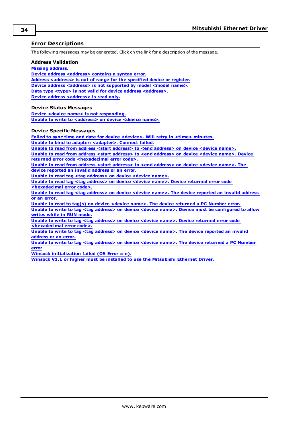# <span id="page-33-0"></span>**Error Descriptions**

The following messages may be generated. Click on the link for a description of the message.

#### **Address Validation**

**Missing [address.](#page-34-0)**

**Device address [<address>](#page-34-1)** contains a syntax error. **Address [<address>](#page-34-2) is out of range for the specified device or register. Device address [<address>](#page-34-3)** is not supported by model <model name>. **Data type <type> is not valid for device address [<address>.](#page-34-4) Device address [<address>](#page-35-0)** is read only.

#### **Device Status Messages**

**Device <device name> is not [responding.](#page-35-1) Unable to write to [<address>](#page-35-2) on device <device name>.**

#### **Device Specific Messages**

**Failed to sync time and date for device [<device>.](#page-36-0) Will retry in <time> minutes. Unable to bind to adapter: [<adapter>.](#page-36-1) Connect failed. Unable to read from address <start address> to <end [address>](#page-36-2) on device <device name>. Unable to read from address <start address> to <end [address>](#page-36-3) on device <device name>. Device returned error code [<hexadecimal](#page-36-3) error code>. Unable to read from address <start address> to <end [address>](#page-37-0) on device <device name>. The device [reported](#page-37-0) an invalid address or an error. Unable to read tag <tag [address>](#page-37-1) on device <device name>. Unable to read tag <tag [address>](#page-37-2) on device <device name>. Device returned error code [<hexadecimal](#page-37-2) error code>. Unable to read tag <tag [address>](#page-37-3) on device <device name>. The device reported an invalid address or an [error.](#page-37-3) Unable to read to tag(s) on device <device name>. The device [returned](#page-38-0) a PC Number error. Unable to write to tag <tag address> on device <device name>. Device must be [configured](#page-38-1) to allow [writes](#page-38-1) while in RUN mode. Unable to write to tag <tag [address>](#page-38-2) on device <device name>. Device returned error code [<hexadecimal](#page-38-2) error code>. Unable to write to tag <tag [address>](#page-38-3) on device <device name>. The device reported an invalid [address](#page-38-3) or an error.**

**Unable to write to tag <tag [address>](#page-39-0) on device <device name>. The device returned a PC Number [error](#page-39-0)**

**Winsock [initialization](#page-39-1) failed (OS Error = n).**

**Winsock V1.1 or higher must be installed to use the [Mitsubishi](#page-39-2) Ethernet Driver.**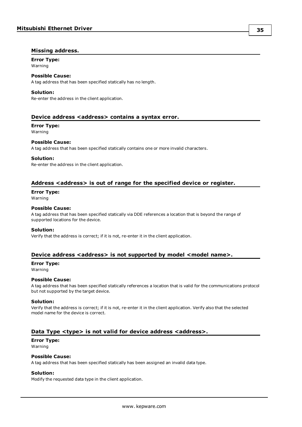# <span id="page-34-0"></span>**Missing address.**

#### **Error Type:** Warning

# **Possible Cause:**

A tag address that has been specified statically has no length.

#### **Solution:**

Re-enter the address in the client application.

# <span id="page-34-1"></span>**Device address <address> contains a syntax error.**

# **Error Type:**

Warning

# **Possible Cause:**

A tag address that has been specified statically contains one or more invalid characters.

#### **Solution:**

Re-enter the address in the client application.

# <span id="page-34-2"></span>**Address <address> is out of range for the specified device or register.**

# **Error Type:**

Warning

# **Possible Cause:**

A tag address that has been specified statically via DDE references a location that is beyond the range of supported locations for the device.

## **Solution:**

Verify that the address is correct; if it is not, re-enter it in the client application.

# <span id="page-34-3"></span>**Device address <address> is not supported by model <model name>.**

# **Error Type:**

Warning

# **Possible Cause:**

A tag address that has been specified statically references a location that is valid for the communications protocol but not supported by the target device.

#### **Solution:**

Verify that the address is correct; if it is not, re-enter it in the client application. Verify also that the selected model name for the device is correct.

# <span id="page-34-4"></span>**Data Type <type> is not valid for device address <address>.**

# **Error Type:**

Warning

# **Possible Cause:**

A tag address that has been specified statically has been assigned an invalid data type.

# **Solution:**

Modify the requested data type in the client application.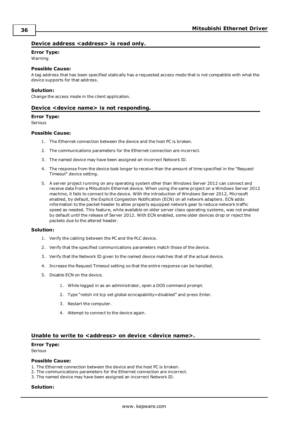# <span id="page-35-0"></span>**Device address <address>** is read only.

## **Error Type:**

Warning

#### **Possible Cause:**

A tag address that has been specified statically has a requested access mode that is not compatible with what the device supports for that address.

#### **Solution:**

<span id="page-35-1"></span>Change the access mode in the client application.

### **Device <device name> is not responding.**

#### **Error Type:**

Serious

#### **Possible Cause:**

- 1. The Ethernet connection between the device and the host PC is broken.
- 2. The communications parameters for the Ethernet connection are incorrect.
- 3. The named device may have been assigned an incorrect Network ID.
- 4. The response from the device took longer to receive than the amount of time specified in the "Request Timeout" device setting.
- 5. A server project running on any operating system other than Windows Server 2012 can connect and receive data from a Mitsubishi Ethernet device. When using the same project on a Windows Server 2012 machine, it fails to connect to the device. With the introduction of Windows Server 2012, Microsoft enabled, by default, the Explicit Congestion Notification (ECN) on all network adapters. ECN adds information to the packet header to allow properly equipped network gear to reduce network traffic speed as needed. This feature, while available on older server class operating systems, was not enabled by default until the release of Server 2012. With ECN enabled, some older devices drop or reject the packets due to the altered header.

#### **Solution:**

- 1. Verify the cabling between the PC and the PLC device.
- 2. Verify that the specified communications parameters match those of the device.
- 3. Verify that the Network ID given to the named device matches that of the actual device.
- 4. Increase the Request Timeout setting so that the entire response can be handled.
- 5. Disable ECN on the device.
	- 1. While logged in as an administrator, open a DOS command prompt.
	- 2. Type "netsh int tcp set global ecncapability=disabled" and press Enter.
	- 3. Restart the computer.
	- 4. Attempt to connect to the device again.

#### <span id="page-35-2"></span>**Unable to write to <address> on device <device name>.**

#### **Error Type:**

Serious

#### **Possible Cause:**

- 1. The Ethernet connection between the device and the host PC is broken.
- 2. The communications parameters for the Ethernet connection are incorrect.
- 3. The named device may have been assigned an incorrect Network ID.

#### **Solution:**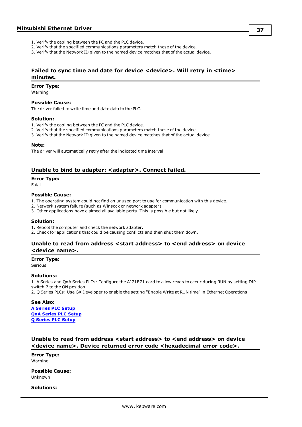- 1. Verify the cabling between the PC and the PLC device.
- 2. Verify that the specified communications parameters match those of the device.
- 3. Verify that the Network ID given to the named device matches that of the actual device.

# <span id="page-36-0"></span>**Failed to sync time and date for device <device>. Will retry in <time> minutes.**

#### **Error Type:**

Warning

#### **Possible Cause:**

The driver failed to write time and date data to the PLC.

#### **Solution:**

- 1. Verify the cabling between the PC and the PLC device.
- 2. Verify that the specified communications parameters match those of the device.
- 3. Verify that the Network ID given to the named device matches that of the actual device.

#### **Note:**

The driver will automatically retry after the indicated time interval.

## <span id="page-36-1"></span>**Unable to bind to adapter: <adapter>. Connect failed.**

#### **Error Type:**

Fatal

#### **Possible Cause:**

- 1. The operating system could not find an unused port to use for communication with this device.
- 2. Network system failure (such as Winsock or network adapter).
- 3. Other applications have claimed all available ports. This is possible but not likely.

# **Solution:**

- 1. Reboot the computer and check the network adapter.
- <span id="page-36-2"></span>2. Check for applications that could be causing conflicts and then shut them down.

# **Unable to read from address <start address> to <end address> on device <device name>.**

#### **Error Type:**

Serious

#### **Solutions:**

1. A Series and QnA Series PLCs: Configure the AJ71E71 card to allow reads to occur during RUN by setting DIP switch 7 to the ON position.

2. Q Series PLCs: Use GX Developer to enable the setting "Enable Write at RUN time" in Ethernet Operations.

#### **See Also:**

**A [Series](#page-8-1) PLC Setup QnA [Series](#page-9-0) PLC Setup Q [Series](#page-11-0) PLC Setup**

# <span id="page-36-3"></span>**Unable to read from address <start address> to <end address> on device <device name>. Device returned error code <hexadecimal error code>.**

**Error Type:** Warning

**Possible Cause:** Unknown

# **Solutions:**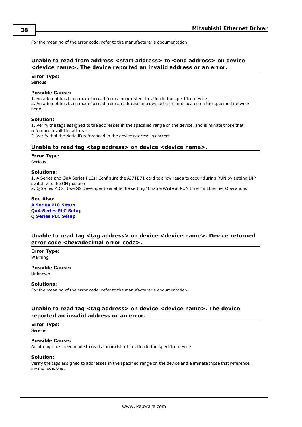For the meaning of the error code, refer to the manufacturer's documentation.

# <span id="page-37-0"></span>**Unable to read from address <start address> to <end address> on device <device name>. The device reported an invalid address or an error.**

#### **Error Type:**

Serious

#### **Possible Cause:**

1. An attempt has been made to read from a nonexistent location in the specified device. 2. An attempt has been made to read from an address in a device that is not located on the specified network node.

#### **Solution:**

1. Verify the tags assigned to the addresses in the specified range on the device, and eliminate those that reference invalid locations.

<span id="page-37-1"></span>2. Verify that the Node ID referenced in the device address is correct.

## **Unable to read tag <tag address> on device <device name>.**

#### **Error Type:**

Serious

#### **Solutions:**

1. A Series and QnA Series PLCs: Configure the AJ71E71 card to allow reads to occur during RUN by setting DIP switch 7 to the ON position.

2. Q Series PLCs: Use GX Developer to enable the setting "Enable Write at RUN time" in Ethernet Operations.

#### **See Also:**

**A [Series](#page-8-1) PLC Setup QnA [Series](#page-9-0) PLC Setup Q [Series](#page-11-0) PLC Setup**

# <span id="page-37-2"></span>**Unable to read tag <tag address> on device <device name>. Device returned error code <hexadecimal error code>.**

## **Error Type:**

Warning

**Possible Cause:** Unknown

#### **Solutions:**

For the meaning of the error code, refer to the manufacturer's documentation.

# <span id="page-37-3"></span>**Unable to read tag <tag address> on device <device name>. The device reported an invalid address or an error.**

#### **Error Type:**

Serious

#### **Possible Cause:**

An attempt has been made to read a nonexistent location in the specified device.

#### **Solution:**

Verify the tags assigned to addresses in the specified range on the device and eliminate those that reference invalid locations.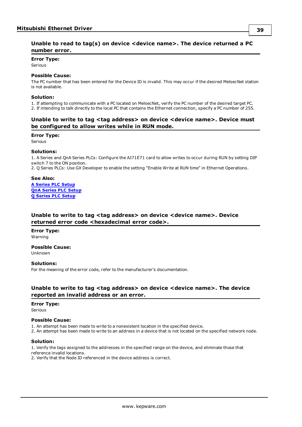# <span id="page-38-0"></span>**Error Type:**

Serious

# **Possible Cause:**

The PC number that has been entered for the Device ID is invalid. This may occur if the desired MelsecNet station is not available.

# **Solution:**

1. If attempting to communicate with a PC located on MelsecNet, verify the PC number of the desired target PC. 2. If intending to talk directly to the local PC that contains the Ethernet connection, specify a PC number of 255.

# <span id="page-38-1"></span>**Unable to write to tag <tag address> on device <device name>. Device must be configured to allow writes while in RUN mode.**

#### **Error Type:**

Serious

#### **Solutions:**

1. A Series and QnA Series PLCs: Configure the AJ71E71 card to allow writes to occur during RUN by setting DIP switch 7 to the ON position.

2. Q Series PLCs: Use GX Developer to enable the setting "Enable Write at RUN time" in Ethernet Operations.

#### **See Also:**

**A [Series](#page-8-1) PLC Setup QnA [Series](#page-9-0) PLC Setup Q [Series](#page-11-0) PLC Setup**

# <span id="page-38-2"></span>**Unable to write to tag <tag address> on device <device name>. Device returned error code <hexadecimal error code>.**

**Error Type:** Warning

**Possible Cause:**

Unknown

# **Solutions:**

For the meaning of the error code, refer to the manufacturer's documentation.

# <span id="page-38-3"></span>**Unable to write to tag <tag address> on device <device name>. The device reported an invalid address or an error.**

#### **Error Type:**

Serious

# **Possible Cause:**

1. An attempt has been made to write to a nonexistent location in the specified device.

2. An attempt has been made to write to an address in a device that is not located on the specified network node.

## **Solution:**

1. Verify the tags assigned to the addresses in the specified range on the device, and eliminate those that reference invalid locations.

2. Verify that the Node ID referenced in the device address is correct.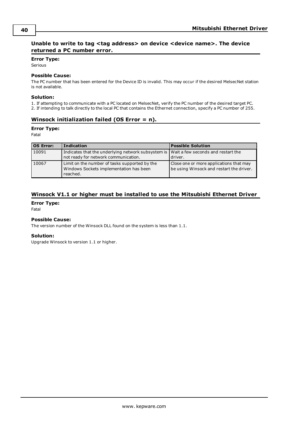# <span id="page-39-0"></span>**Unable to write to tag <tag address> on device <device name>. The device returned a PC number error.**

#### **Error Type:**

Serious

# **Possible Cause:**

The PC number that has been entered for the Device ID is invalid. This may occur if the desired MelsecNet station is not available.

# **Solution:**

1. If attempting to communicate with a PC located on MelsecNet, verify the PC number of the desired target PC.

<span id="page-39-1"></span>2. If intending to talk directly to the local PC that contains the Ethernet connection, specify a PC number of 255.

# **Winsock initialization failed (OS Error = n).**

#### **Error Type:**

Fatal

| OS Error: | <b>Indication</b>                                                                                                               | <b>Possible Solution</b>                                                            |
|-----------|---------------------------------------------------------------------------------------------------------------------------------|-------------------------------------------------------------------------------------|
| 10091     | Indicates that the underlying network subsystem is   Wait a few seconds and restart the<br>not ready for network communication. | driver.                                                                             |
| 10067     | Limit on the number of tasks supported by the<br>Windows Sockets implementation has been<br>reached.                            | Close one or more applications that may<br>be using Winsock and restart the driver. |

# <span id="page-39-2"></span>**Winsock V1.1 or higher must be installed to use the Mitsubishi Ethernet Driver**

**Error Type:**

Fatal

# **Possible Cause:**

The version number of the Winsock DLL found on the system is less than 1.1.

## **Solution:**

Upgrade Winsock to version 1.1 or higher.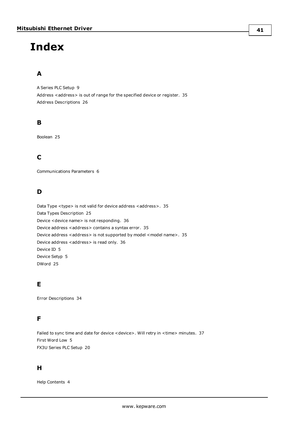# <span id="page-40-0"></span>**Index**

# **A**

A Series PLC Setup [9](#page-8-1) Address <address> is out of range for the specified device or register. [35](#page-34-2) Address Descriptions [26](#page-25-0)

# **B**

Boolean [25](#page-24-1)

# **C**

Communications Parameters [6](#page-5-0)

# **D**

Data Type <type> is not valid for device address <address>. [35](#page-34-4) Data Types Description [25](#page-24-0) Device <device name> is not responding. [36](#page-35-1) Device address <address> contains a syntax error. [35](#page-34-1) Device address <address> is not supported by model <model name>. [35](#page-34-3) Device address <address> is read only. [36](#page-35-0) Device ID [5](#page-4-2) Device Setyp [5](#page-4-0) DWord [25](#page-24-2)

# **E**

Error Descriptions [34](#page-33-0)

# **F**

Failed to sync time and date for device <device>. Will retry in <time> minutes. [37](#page-36-0) First Word Low [5](#page-4-1) FX3U Series PLC Setup [20](#page-19-0)

# **H**

Help Contents [4](#page-3-0)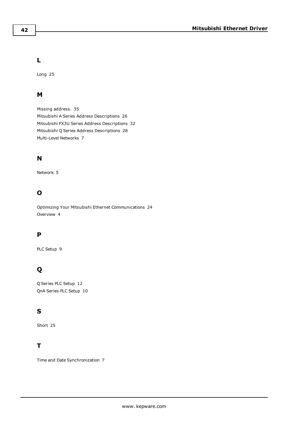# **L**

Long [25](#page-24-3)

# **M**

Missing address. [35](#page-34-0) Mitsubishi A Series Address Descriptions [26](#page-25-1) Mitsubishi FX3U Series Address Descriptions [32](#page-31-0) Mitsubishi Q Series Address Descriptions [28](#page-27-0) Multi-Level Networks [7](#page-6-1)

# **N**

Network [5](#page-4-2)

# **O**

Optimizing Your Mitsubishi Ethernet Communications [24](#page-23-0) Overview [4](#page-3-1)

# **P**

PLC Setup [9](#page-8-0)

# **Q**

Q Series PLC Setup [12](#page-11-0) QnA Series PLC Setup [10](#page-9-0)

# **S**

Short [25](#page-24-4)

# **T**

Time and Date Synchronization [7](#page-6-0)